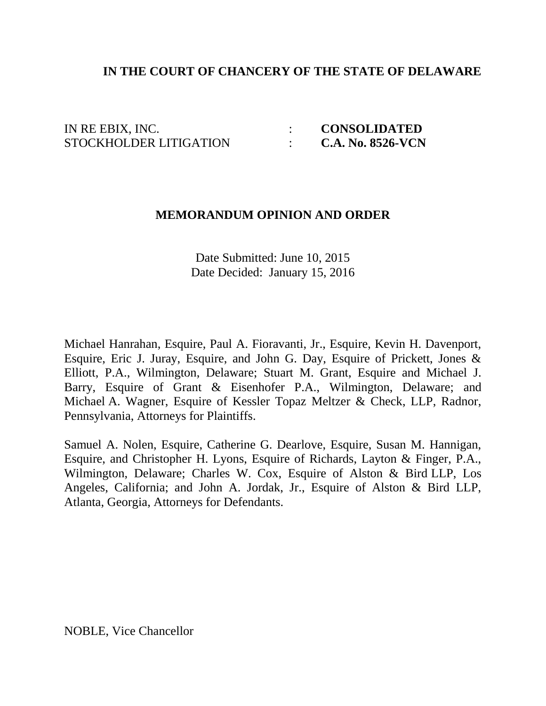## **IN THE COURT OF CHANCERY OF THE STATE OF DELAWARE**

IN RE EBIX, INC.  $\qquad \qquad : \qquad \textbf{CONSOLIDATED}$ STOCKHOLDER LITIGATION : **C.A. No. 8526-VCN**

#### **MEMORANDUM OPINION AND ORDER**

Date Submitted: June 10, 2015 Date Decided: January 15, 2016

Michael Hanrahan, Esquire, Paul A. Fioravanti, Jr., Esquire, Kevin H. Davenport, Esquire, Eric J. Juray, Esquire, and John G. Day, Esquire of Prickett, Jones & Elliott, P.A., Wilmington, Delaware; Stuart M. Grant, Esquire and Michael J. Barry, Esquire of Grant & Eisenhofer P.A., Wilmington, Delaware; and Michael A. Wagner, Esquire of Kessler Topaz Meltzer & Check, LLP, Radnor, Pennsylvania, Attorneys for Plaintiffs.

Samuel A. Nolen, Esquire, Catherine G. Dearlove, Esquire, Susan M. Hannigan, Esquire, and Christopher H. Lyons, Esquire of Richards, Layton & Finger, P.A., Wilmington, Delaware; Charles W. Cox, Esquire of Alston & Bird LLP, Los Angeles, California; and John A. Jordak, Jr., Esquire of Alston & Bird LLP, Atlanta, Georgia, Attorneys for Defendants.

NOBLE, Vice Chancellor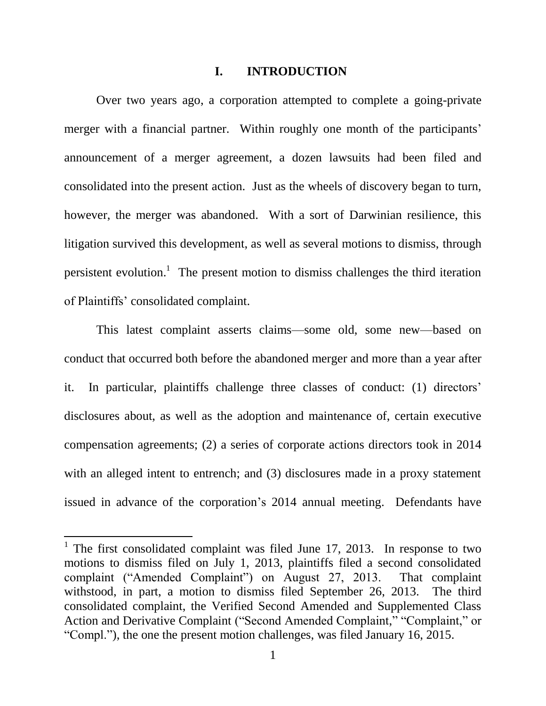### **I. INTRODUCTION**

Over two years ago, a corporation attempted to complete a going-private merger with a financial partner. Within roughly one month of the participants' announcement of a merger agreement, a dozen lawsuits had been filed and consolidated into the present action. Just as the wheels of discovery began to turn, however, the merger was abandoned. With a sort of Darwinian resilience, this litigation survived this development, as well as several motions to dismiss, through persistent evolution.<sup>1</sup> The present motion to dismiss challenges the third iteration of Plaintiffs' consolidated complaint.

This latest complaint asserts claims—some old, some new—based on conduct that occurred both before the abandoned merger and more than a year after it. In particular, plaintiffs challenge three classes of conduct: (1) directors' disclosures about, as well as the adoption and maintenance of, certain executive compensation agreements; (2) a series of corporate actions directors took in 2014 with an alleged intent to entrench; and (3) disclosures made in a proxy statement issued in advance of the corporation's 2014 annual meeting. Defendants have

<sup>&</sup>lt;sup>1</sup> The first consolidated complaint was filed June 17, 2013. In response to two motions to dismiss filed on July 1, 2013, plaintiffs filed a second consolidated complaint ("Amended Complaint") on August 27, 2013. That complaint withstood, in part, a motion to dismiss filed September 26, 2013. The third consolidated complaint, the Verified Second Amended and Supplemented Class Action and Derivative Complaint ("Second Amended Complaint," "Complaint," or "Compl."), the one the present motion challenges, was filed January 16, 2015.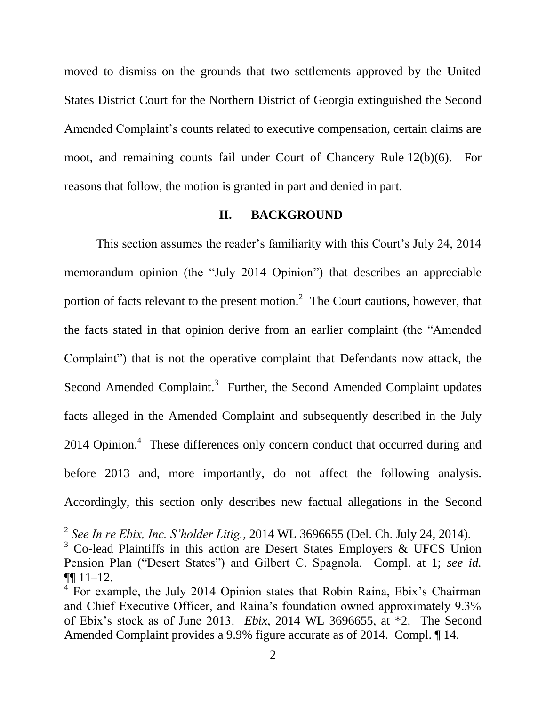moved to dismiss on the grounds that two settlements approved by the United States District Court for the Northern District of Georgia extinguished the Second Amended Complaint's counts related to executive compensation, certain claims are moot, and remaining counts fail under Court of Chancery Rule 12(b)(6). For reasons that follow, the motion is granted in part and denied in part.

#### **II. BACKGROUND**

This section assumes the reader's familiarity with this Court's July 24, 2014 memorandum opinion (the "July 2014 Opinion") that describes an appreciable portion of facts relevant to the present motion.<sup>2</sup> The Court cautions, however, that the facts stated in that opinion derive from an earlier complaint (the "Amended Complaint") that is not the operative complaint that Defendants now attack, the Second Amended Complaint.<sup>3</sup> Further, the Second Amended Complaint updates facts alleged in the Amended Complaint and subsequently described in the July 2014 Opinion.<sup>4</sup> These differences only concern conduct that occurred during and before 2013 and, more importantly, do not affect the following analysis. Accordingly, this section only describes new factual allegations in the Second

<sup>2</sup> *See In re Ebix, Inc. S'holder Litig.*, 2014 WL 3696655 (Del. Ch. July 24, 2014).

 $3$  Co-lead Plaintiffs in this action are Desert States Employers & UFCS Union Pension Plan ("Desert States") and Gilbert C. Spagnola. Compl. at 1; *see id.* ¶¶ 11–12.

<sup>&</sup>lt;sup>4</sup> For example, the July 2014 Opinion states that Robin Raina, Ebix's Chairman and Chief Executive Officer, and Raina's foundation owned approximately 9.3% of Ebix's stock as of June 2013. *Ebix*, 2014 WL 3696655, at \*2. The Second Amended Complaint provides a 9.9% figure accurate as of 2014. Compl. ¶ 14.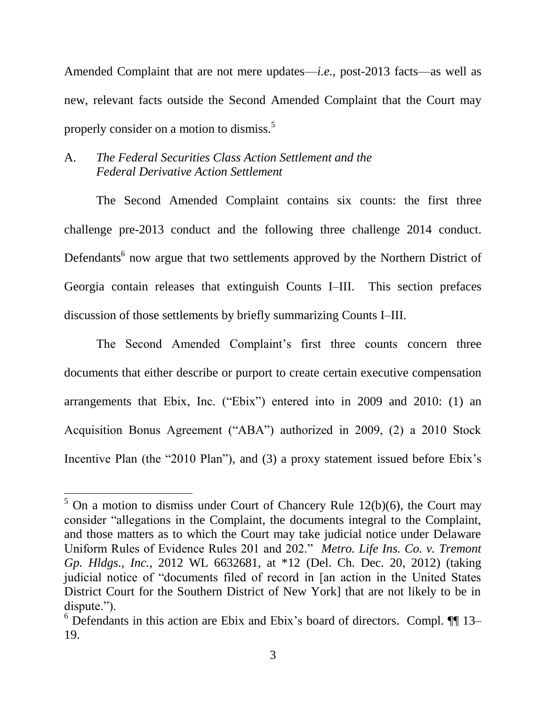Amended Complaint that are not mere updates—*i.e.*, post-2013 facts—as well as new, relevant facts outside the Second Amended Complaint that the Court may properly consider on a motion to dismiss.<sup>5</sup>

## A. *The Federal Securities Class Action Settlement and the Federal Derivative Action Settlement*

 $\overline{a}$ 

The Second Amended Complaint contains six counts: the first three challenge pre-2013 conduct and the following three challenge 2014 conduct. Defendants<sup>6</sup> now argue that two settlements approved by the Northern District of Georgia contain releases that extinguish Counts I–III. This section prefaces discussion of those settlements by briefly summarizing Counts I–III.

The Second Amended Complaint's first three counts concern three documents that either describe or purport to create certain executive compensation arrangements that Ebix, Inc. ("Ebix") entered into in 2009 and 2010: (1) an Acquisition Bonus Agreement ("ABA") authorized in 2009, (2) a 2010 Stock Incentive Plan (the "2010 Plan"), and (3) a proxy statement issued before Ebix's

 $5$  On a motion to dismiss under Court of Chancery Rule 12(b)(6), the Court may consider "allegations in the Complaint, the documents integral to the Complaint, and those matters as to which the Court may take judicial notice under Delaware Uniform Rules of Evidence Rules 201 and 202." *Metro. Life Ins. Co. v. Tremont Gp. Hldgs., Inc.*, 2012 WL 6632681, at \*12 (Del. Ch. Dec. 20, 2012) (taking judicial notice of "documents filed of record in [an action in the United States District Court for the Southern District of New York] that are not likely to be in dispute.").

 $6$  Defendants in this action are Ebix and Ebix's board of directors. Compl.  $\P\P$  13– 19.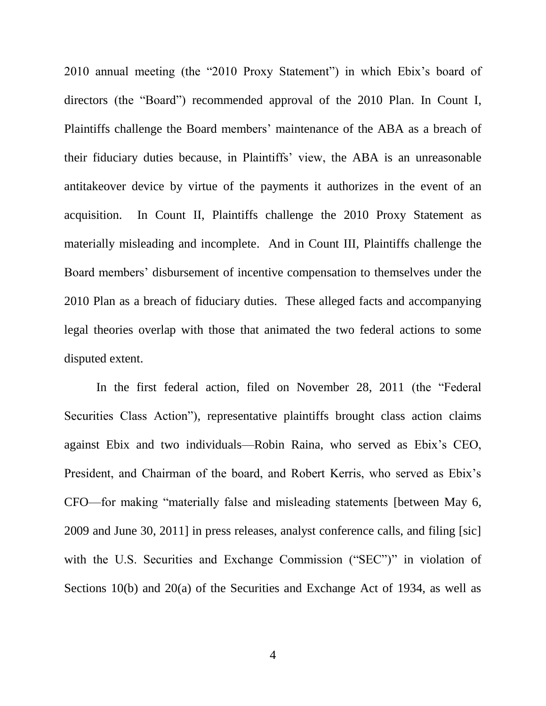2010 annual meeting (the "2010 Proxy Statement") in which Ebix's board of directors (the "Board") recommended approval of the 2010 Plan. In Count I, Plaintiffs challenge the Board members' maintenance of the ABA as a breach of their fiduciary duties because, in Plaintiffs' view, the ABA is an unreasonable antitakeover device by virtue of the payments it authorizes in the event of an acquisition. In Count II, Plaintiffs challenge the 2010 Proxy Statement as materially misleading and incomplete. And in Count III, Plaintiffs challenge the Board members' disbursement of incentive compensation to themselves under the 2010 Plan as a breach of fiduciary duties. These alleged facts and accompanying legal theories overlap with those that animated the two federal actions to some disputed extent.

In the first federal action, filed on November 28, 2011 (the "Federal Securities Class Action"), representative plaintiffs brought class action claims against Ebix and two individuals—Robin Raina, who served as Ebix's CEO, President, and Chairman of the board, and Robert Kerris, who served as Ebix's CFO—for making "materially false and misleading statements [between May 6, 2009 and June 30, 2011] in press releases, analyst conference calls, and filing [sic] with the U.S. Securities and Exchange Commission ("SEC")" in violation of Sections 10(b) and 20(a) of the Securities and Exchange Act of 1934, as well as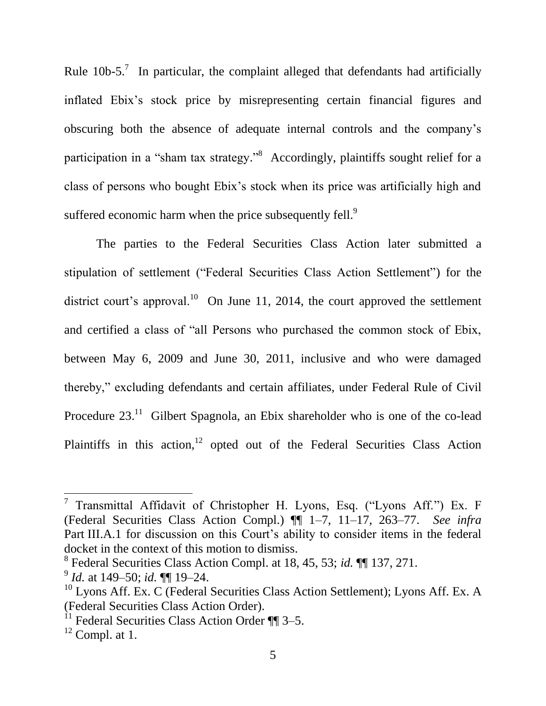Rule  $10b-5$ .<sup>7</sup> In particular, the complaint alleged that defendants had artificially inflated Ebix's stock price by misrepresenting certain financial figures and obscuring both the absence of adequate internal controls and the company's participation in a "sham tax strategy."<sup>8</sup> Accordingly, plaintiffs sought relief for a class of persons who bought Ebix's stock when its price was artificially high and suffered economic harm when the price subsequently fell.<sup>9</sup>

The parties to the Federal Securities Class Action later submitted a stipulation of settlement ("Federal Securities Class Action Settlement") for the district court's approval.<sup>10</sup> On June 11, 2014, the court approved the settlement and certified a class of "all Persons who purchased the common stock of Ebix, between May 6, 2009 and June 30, 2011, inclusive and who were damaged thereby," excluding defendants and certain affiliates, under Federal Rule of Civil Procedure  $23<sup>11</sup>$  Gilbert Spagnola, an Ebix shareholder who is one of the co-lead Plaintiffs in this action,<sup>12</sup> opted out of the Federal Securities Class Action

 $\overline{a}$ 

<sup>&</sup>lt;sup>7</sup> Transmittal Affidavit of Christopher H. Lyons, Esq. ("Lyons Aff.") Ex. F (Federal Securities Class Action Compl.) ¶¶ 1–7, 11–17, 263–77. *See infra* Part III.A.1 for discussion on this Court's ability to consider items in the federal docket in the context of this motion to dismiss.

<sup>8</sup> Federal Securities Class Action Compl. at 18, 45, 53; *id.* ¶¶ 137, 271.

<sup>9</sup> *Id.* at 149–50; *id.* ¶¶ 19–24.

 $10$  Lyons Aff. Ex. C (Federal Securities Class Action Settlement); Lyons Aff. Ex. A (Federal Securities Class Action Order).

 $11$  Federal Securities Class Action Order  $\P$  3–5.

 $12$  Compl. at 1.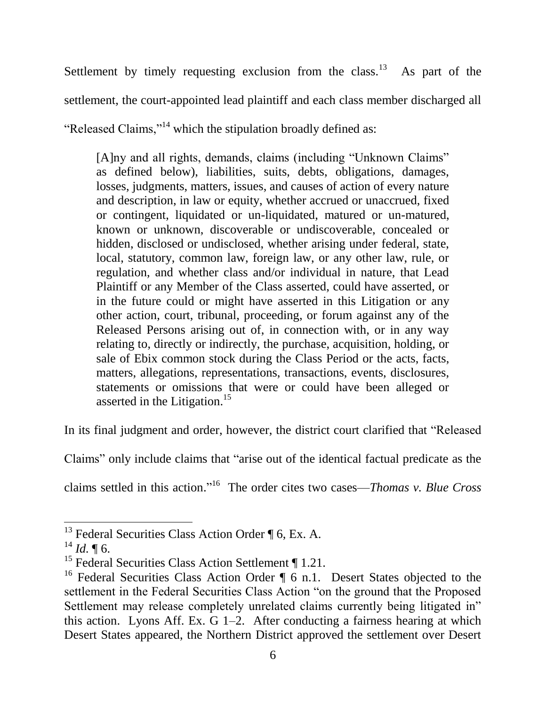Settlement by timely requesting exclusion from the class.<sup>13</sup> As part of the settlement, the court-appointed lead plaintiff and each class member discharged all "Released Claims,"<sup>14</sup> which the stipulation broadly defined as:

[A]ny and all rights, demands, claims (including "Unknown Claims" as defined below), liabilities, suits, debts, obligations, damages, losses, judgments, matters, issues, and causes of action of every nature and description, in law or equity, whether accrued or unaccrued, fixed or contingent, liquidated or un-liquidated, matured or un-matured, known or unknown, discoverable or undiscoverable, concealed or hidden, disclosed or undisclosed, whether arising under federal, state, local, statutory, common law, foreign law, or any other law, rule, or regulation, and whether class and/or individual in nature, that Lead Plaintiff or any Member of the Class asserted, could have asserted, or in the future could or might have asserted in this Litigation or any other action, court, tribunal, proceeding, or forum against any of the Released Persons arising out of, in connection with, or in any way relating to, directly or indirectly, the purchase, acquisition, holding, or sale of Ebix common stock during the Class Period or the acts, facts, matters, allegations, representations, transactions, events, disclosures, statements or omissions that were or could have been alleged or asserted in the Litigation.<sup>15</sup>

In its final judgment and order, however, the district court clarified that "Released

Claims" only include claims that "arise out of the identical factual predicate as the

claims settled in this action." <sup>16</sup> The order cites two cases—*Thomas v. Blue Cross* 

 $^{13}$  Federal Securities Class Action Order ¶ 6, Ex. A.

 $^{14}$  *Id.* ¶ 6.

<sup>&</sup>lt;sup>15</sup> Federal Securities Class Action Settlement ¶ 1.21.

<sup>&</sup>lt;sup>16</sup> Federal Securities Class Action Order  $\P_6$  n.1. Desert States objected to the settlement in the Federal Securities Class Action "on the ground that the Proposed Settlement may release completely unrelated claims currently being litigated in" this action. Lyons Aff. Ex. G 1–2. After conducting a fairness hearing at which Desert States appeared, the Northern District approved the settlement over Desert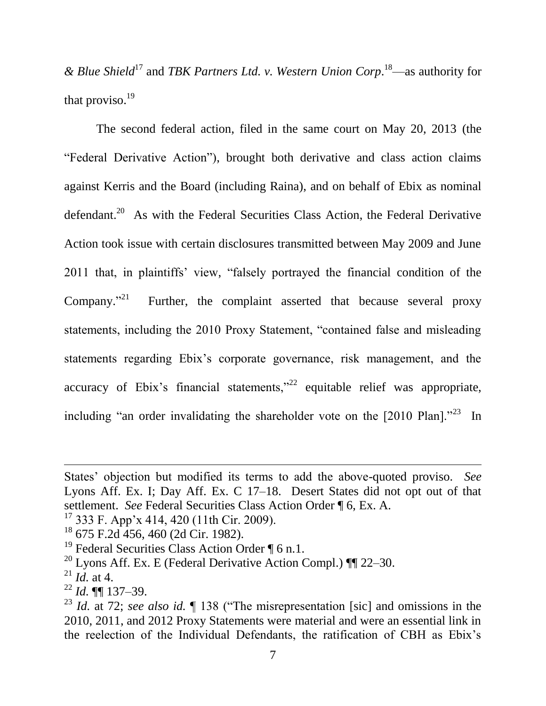*& Blue Shield*<sup>17</sup> and *TBK Partners Ltd. v. Western Union Corp*. <sup>18</sup>—as authority for that proviso. $19$ 

The second federal action, filed in the same court on May 20, 2013 (the "Federal Derivative Action"), brought both derivative and class action claims against Kerris and the Board (including Raina), and on behalf of Ebix as nominal defendant.<sup>20</sup> As with the Federal Securities Class Action, the Federal Derivative Action took issue with certain disclosures transmitted between May 2009 and June 2011 that, in plaintiffs' view, "falsely portrayed the financial condition of the Company." $^{21}$ Further, the complaint asserted that because several proxy statements, including the 2010 Proxy Statement, "contained false and misleading statements regarding Ebix's corporate governance, risk management, and the accuracy of Ebix's financial statements," $22$  equitable relief was appropriate, including "an order invalidating the shareholder vote on the  $[2010 \text{ Plan}]$ ."<sup>23</sup> In

 $17$  333 F. App'x 414, 420 (11th Cir. 2009).

 $\overline{a}$ 

States' objection but modified its terms to add the above-quoted proviso. *See* Lyons Aff. Ex. I; Day Aff. Ex. C 17–18. Desert States did not opt out of that settlement. *See* Federal Securities Class Action Order ¶ 6, Ex. A.

<sup>18</sup> 675 F.2d 456, 460 (2d Cir. 1982).

<sup>&</sup>lt;sup>19</sup> Federal Securities Class Action Order ¶ 6 n.1.

<sup>&</sup>lt;sup>20</sup> Lyons Aff. Ex. E (Federal Derivative Action Compl.)  $\P$  22–30.

 $^{21}$  *Id.* at 4.

<sup>22</sup> *Id.* ¶¶ 137–39.

<sup>23</sup> *Id.* at 72; *see also id.* ¶ 138 ("The misrepresentation [sic] and omissions in the 2010, 2011, and 2012 Proxy Statements were material and were an essential link in the reelection of the Individual Defendants, the ratification of CBH as Ebix's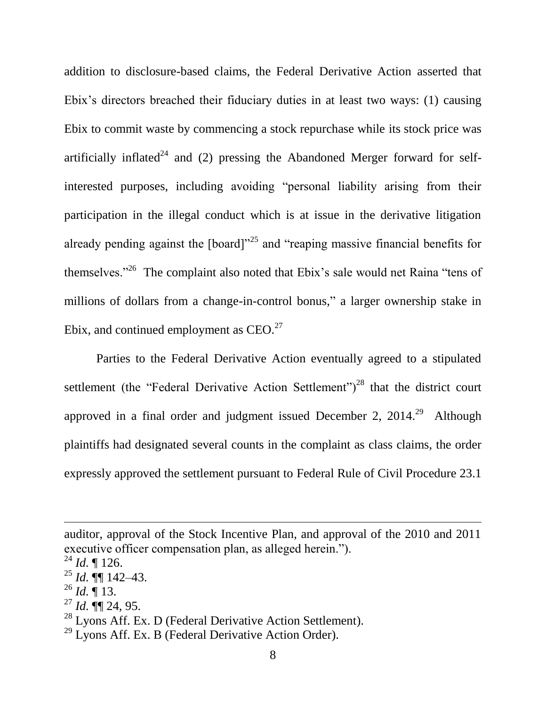addition to disclosure-based claims, the Federal Derivative Action asserted that Ebix's directors breached their fiduciary duties in at least two ways: (1) causing Ebix to commit waste by commencing a stock repurchase while its stock price was artificially inflated<sup>24</sup> and (2) pressing the Abandoned Merger forward for selfinterested purposes, including avoiding "personal liability arising from their participation in the illegal conduct which is at issue in the derivative litigation already pending against the [board]"<sup>25</sup> and "reaping massive financial benefits for themselves."<sup>26</sup> The complaint also noted that Ebix's sale would net Raina "tens of millions of dollars from a change-in-control bonus," a larger ownership stake in Ebix, and continued employment as  $CEO.<sup>27</sup>$ 

Parties to the Federal Derivative Action eventually agreed to a stipulated settlement (the "Federal Derivative Action Settlement")<sup>28</sup> that the district court approved in a final order and judgment issued December 2,  $2014.<sup>29</sup>$  Although plaintiffs had designated several counts in the complaint as class claims, the order expressly approved the settlement pursuant to Federal Rule of Civil Procedure 23.1

 $\overline{\phantom{a}}$ 

 $^{26}$  *Id.* ¶ 13.

auditor, approval of the Stock Incentive Plan, and approval of the 2010 and 2011 executive officer compensation plan, as alleged herein.").

 $^{24}$  *Id.*  $\llbracket$  126.

 $^{25}$  *Id.*  $\P\P$  142–43.

 $^{27}$  *Id.*  $\P\P$  24, 95.

 $28$  Lyons Aff. Ex. D (Federal Derivative Action Settlement).

 $29$  Lyons Aff. Ex. B (Federal Derivative Action Order).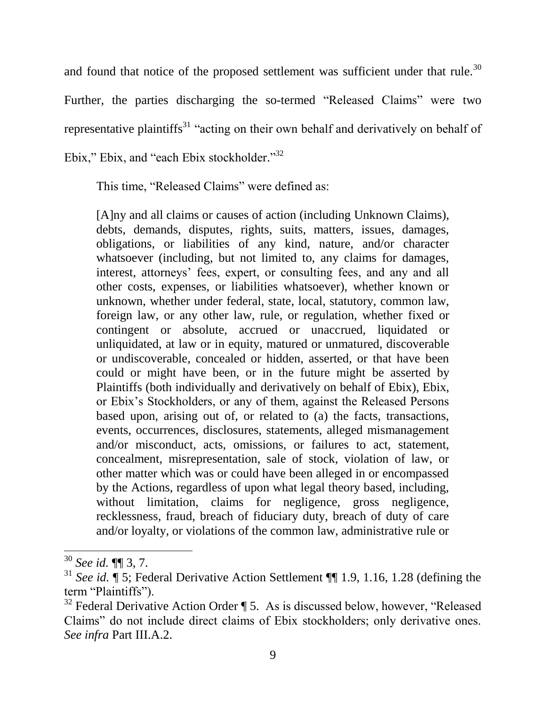and found that notice of the proposed settlement was sufficient under that rule.<sup>30</sup>

Further, the parties discharging the so-termed "Released Claims" were two representative plaintiffs<sup>31</sup> "acting on their own behalf and derivatively on behalf of Ebix," Ebix, and "each Ebix stockholder."<sup>32</sup>

This time, "Released Claims" were defined as:

[A]ny and all claims or causes of action (including Unknown Claims), debts, demands, disputes, rights, suits, matters, issues, damages, obligations, or liabilities of any kind, nature, and/or character whatsoever (including, but not limited to, any claims for damages, interest, attorneys' fees, expert, or consulting fees, and any and all other costs, expenses, or liabilities whatsoever), whether known or unknown, whether under federal, state, local, statutory, common law, foreign law, or any other law, rule, or regulation, whether fixed or contingent or absolute, accrued or unaccrued, liquidated or unliquidated, at law or in equity, matured or unmatured, discoverable or undiscoverable, concealed or hidden, asserted, or that have been could or might have been, or in the future might be asserted by Plaintiffs (both individually and derivatively on behalf of Ebix), Ebix, or Ebix's Stockholders, or any of them, against the Released Persons based upon, arising out of, or related to (a) the facts, transactions, events, occurrences, disclosures, statements, alleged mismanagement and/or misconduct, acts, omissions, or failures to act, statement, concealment, misrepresentation, sale of stock, violation of law, or other matter which was or could have been alleged in or encompassed by the Actions, regardless of upon what legal theory based, including, without limitation, claims for negligence, gross negligence, recklessness, fraud, breach of fiduciary duty, breach of duty of care and/or loyalty, or violations of the common law, administrative rule or

<sup>30</sup> *See id.* ¶¶ 3, 7.

<sup>&</sup>lt;sup>31</sup> *See id.*  $\overline{\P}$  5; Federal Derivative Action Settlement  $\P$  1.9, 1.16, 1.28 (defining the term "Plaintiffs").

 $32$  Federal Derivative Action Order ¶ 5. As is discussed below, however, "Released" Claims" do not include direct claims of Ebix stockholders; only derivative ones. *See infra* Part III.A.2.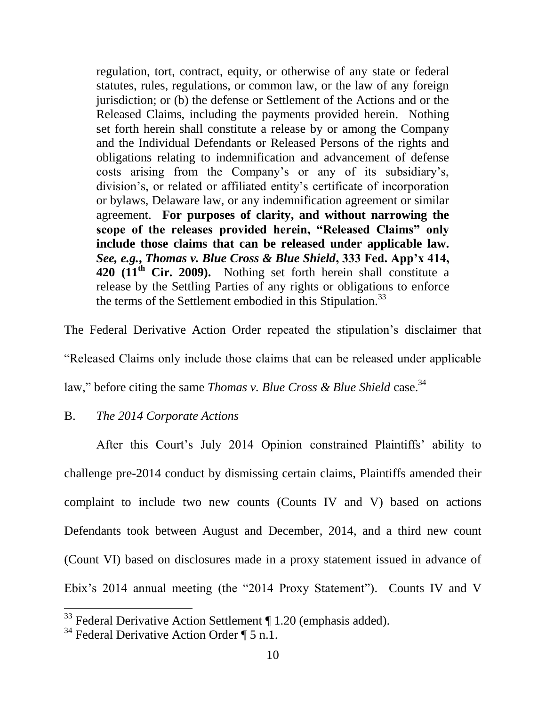regulation, tort, contract, equity, or otherwise of any state or federal statutes, rules, regulations, or common law, or the law of any foreign jurisdiction; or (b) the defense or Settlement of the Actions and or the Released Claims, including the payments provided herein. Nothing set forth herein shall constitute a release by or among the Company and the Individual Defendants or Released Persons of the rights and obligations relating to indemnification and advancement of defense costs arising from the Company's or any of its subsidiary's, division's, or related or affiliated entity's certificate of incorporation or bylaws, Delaware law, or any indemnification agreement or similar agreement. **For purposes of clarity, and without narrowing the scope of the releases provided herein, "Released Claims" only include those claims that can be released under applicable law.**  *See, e.g.***,** *Thomas v. Blue Cross & Blue Shield***, 333 Fed. App'x 414, 420 (11th Cir. 2009).** Nothing set forth herein shall constitute a release by the Settling Parties of any rights or obligations to enforce the terms of the Settlement embodied in this Stipulation.<sup>33</sup>

The Federal Derivative Action Order repeated the stipulation's disclaimer that

"Released Claims only include those claims that can be released under applicable

law," before citing the same *Thomas v. Blue Cross & Blue Shield* case.<sup>34</sup>

### B. *The 2014 Corporate Actions*

After this Court's July 2014 Opinion constrained Plaintiffs' ability to challenge pre-2014 conduct by dismissing certain claims, Plaintiffs amended their complaint to include two new counts (Counts IV and V) based on actions Defendants took between August and December, 2014, and a third new count (Count VI) based on disclosures made in a proxy statement issued in advance of Ebix's 2014 annual meeting (the "2014 Proxy Statement"). Counts IV and V

 $33$  Federal Derivative Action Settlement  $\P$  1.20 (emphasis added).

<sup>&</sup>lt;sup>34</sup> Federal Derivative Action Order  $\P$  5 n.1.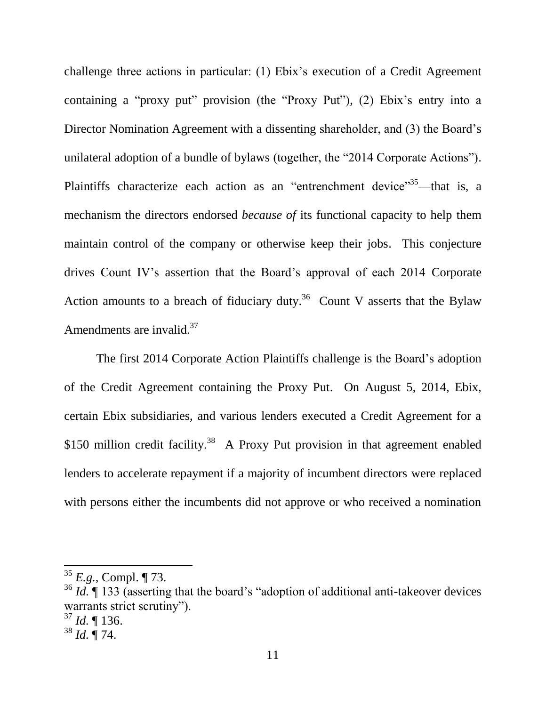challenge three actions in particular: (1) Ebix's execution of a Credit Agreement containing a "proxy put" provision (the "Proxy Put"), (2) Ebix's entry into a Director Nomination Agreement with a dissenting shareholder, and (3) the Board's unilateral adoption of a bundle of bylaws (together, the "2014 Corporate Actions"). Plaintiffs characterize each action as an "entrenchment device"<sup>35</sup>—that is, a mechanism the directors endorsed *because of* its functional capacity to help them maintain control of the company or otherwise keep their jobs. This conjecture drives Count IV's assertion that the Board's approval of each 2014 Corporate Action amounts to a breach of fiduciary duty.<sup>36</sup> Count V asserts that the Bylaw Amendments are invalid.<sup>37</sup>

The first 2014 Corporate Action Plaintiffs challenge is the Board's adoption of the Credit Agreement containing the Proxy Put. On August 5, 2014, Ebix, certain Ebix subsidiaries, and various lenders executed a Credit Agreement for a \$150 million credit facility.<sup>38</sup> A Proxy Put provision in that agreement enabled lenders to accelerate repayment if a majority of incumbent directors were replaced with persons either the incumbents did not approve or who received a nomination

<sup>35</sup> *E.g.*, Compl. ¶ 73.

<sup>&</sup>lt;sup>36</sup> *Id.* If 133 (asserting that the board's "adoption of additional anti-takeover devices warrants strict scrutiny").

 $37$  *Id.* 136.

<sup>38</sup> *Id.* ¶ 74.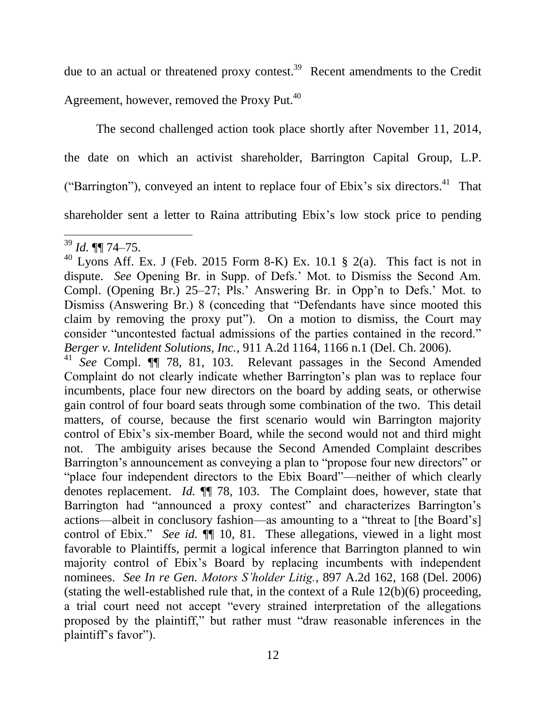due to an actual or threatened proxy contest.<sup>39</sup> Recent amendments to the Credit Agreement, however, removed the Proxy Put.<sup>40</sup>

The second challenged action took place shortly after November 11, 2014, the date on which an activist shareholder, Barrington Capital Group, L.P. ("Barrington"), conveyed an intent to replace four of Ebix's six directors.<sup>41</sup> That shareholder sent a letter to Raina attributing Ebix's low stock price to pending

<sup>41</sup> *See* Compl. ¶¶ 78, 81, 103. Relevant passages in the Second Amended Complaint do not clearly indicate whether Barrington's plan was to replace four incumbents, place four new directors on the board by adding seats, or otherwise gain control of four board seats through some combination of the two. This detail matters, of course, because the first scenario would win Barrington majority control of Ebix's six-member Board, while the second would not and third might not. The ambiguity arises because the Second Amended Complaint describes Barrington's announcement as conveying a plan to "propose four new directors" or "place four independent directors to the Ebix Board"—neither of which clearly denotes replacement. *Id.* ¶¶ 78, 103. The Complaint does, however, state that Barrington had "announced a proxy contest" and characterizes Barrington's actions—albeit in conclusory fashion—as amounting to a "threat to [the Board's] control of Ebix." *See id.*  $\P$  10, 81. These allegations, viewed in a light most favorable to Plaintiffs, permit a logical inference that Barrington planned to win majority control of Ebix's Board by replacing incumbents with independent nominees. *See In re Gen. Motors S'holder Litig.*, 897 A.2d 162, 168 (Del. 2006) (stating the well-established rule that, in the context of a Rule 12(b)(6) proceeding, a trial court need not accept "every strained interpretation of the allegations proposed by the plaintiff," but rather must "draw reasonable inferences in the plaintiff's favor").

 $\overline{a}$ <sup>39</sup> *Id.* ¶¶ 74–75.

 $40$  Lyons Aff. Ex. J (Feb. 2015 Form 8-K) Ex. 10.1 § 2(a). This fact is not in dispute. *See* Opening Br. in Supp. of Defs.' Mot. to Dismiss the Second Am. Compl. (Opening Br.) 25–27; Pls.' Answering Br. in Opp'n to Defs.' Mot. to Dismiss (Answering Br.) 8 (conceding that "Defendants have since mooted this claim by removing the proxy put"). On a motion to dismiss, the Court may consider "uncontested factual admissions of the parties contained in the record." *Berger v. Intelident Solutions, Inc.*, 911 A.2d 1164, 1166 n.1 (Del. Ch. 2006).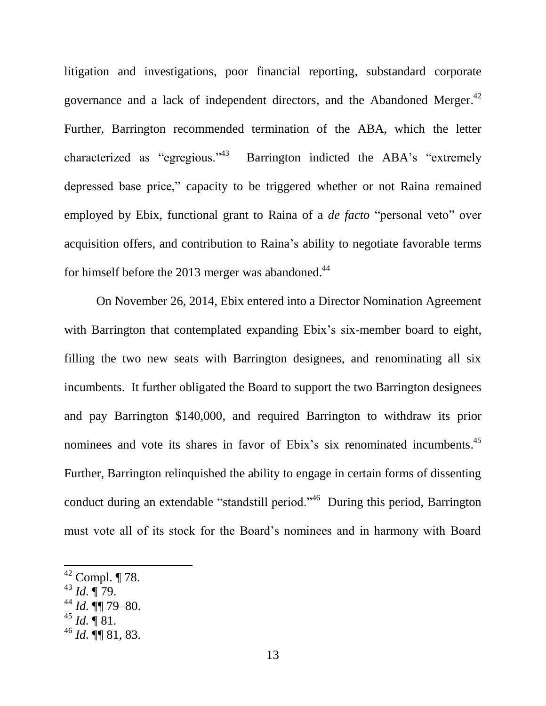litigation and investigations, poor financial reporting, substandard corporate governance and a lack of independent directors, and the Abandoned Merger. $42$ Further, Barrington recommended termination of the ABA, which the letter characterized as "egregious."<sup>43</sup> Barrington indicted the ABA's "extremely depressed base price," capacity to be triggered whether or not Raina remained employed by Ebix, functional grant to Raina of a *de facto* "personal veto" over acquisition offers, and contribution to Raina's ability to negotiate favorable terms for himself before the 2013 merger was abandoned.<sup>44</sup>

On November 26, 2014, Ebix entered into a Director Nomination Agreement with Barrington that contemplated expanding Ebix's six-member board to eight, filling the two new seats with Barrington designees, and renominating all six incumbents. It further obligated the Board to support the two Barrington designees and pay Barrington \$140,000, and required Barrington to withdraw its prior nominees and vote its shares in favor of Ebix's six renominated incumbents.<sup>45</sup> Further, Barrington relinquished the ability to engage in certain forms of dissenting conduct during an extendable "standstill period."<sup>46</sup> During this period, Barrington must vote all of its stock for the Board's nominees and in harmony with Board

<sup>43</sup> *Id.* ¶ 79.

- $^{44}$  *Id.*  $\P$  79–80.
- $^{45}$  *Id.*  $\overline{9}$  81.

 $42$  Compl.  $\P$  78.

<sup>46</sup> *Id.* ¶¶ 81, 83.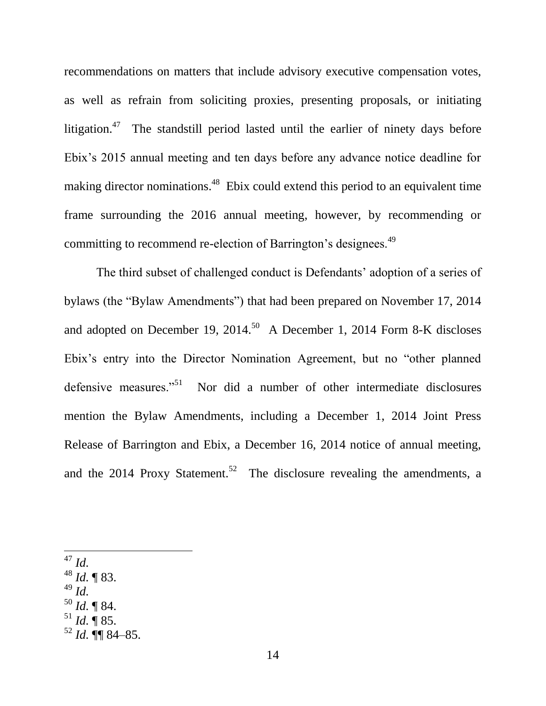recommendations on matters that include advisory executive compensation votes, as well as refrain from soliciting proxies, presenting proposals, or initiating litigation.<sup>47</sup> The standstill period lasted until the earlier of ninety days before Ebix's 2015 annual meeting and ten days before any advance notice deadline for making director nominations.<sup>48</sup> Ebix could extend this period to an equivalent time frame surrounding the 2016 annual meeting, however, by recommending or committing to recommend re-election of Barrington's designees.<sup>49</sup>

The third subset of challenged conduct is Defendants' adoption of a series of bylaws (the "Bylaw Amendments") that had been prepared on November 17, 2014 and adopted on December 19, 2014.<sup>50</sup> A December 1, 2014 Form 8-K discloses Ebix's entry into the Director Nomination Agreement, but no "other planned defensive measures."<sup>51</sup> Nor did a number of other intermediate disclosures mention the Bylaw Amendments, including a December 1, 2014 Joint Press Release of Barrington and Ebix, a December 16, 2014 notice of annual meeting, and the 2014 Proxy Statement.<sup>52</sup> The disclosure revealing the amendments, a

 $\overline{\phantom{a}}$ <sup>47</sup> *Id.*

- <sup>48</sup> *Id.* ¶ 83.
- <sup>49</sup> *Id.*
- <sup>50</sup> *Id.* ¶ 84.
- $^{51}$  *Id.*  $\overline{9}$  85.
- <sup>52</sup> *Id.* ¶¶ 84–85.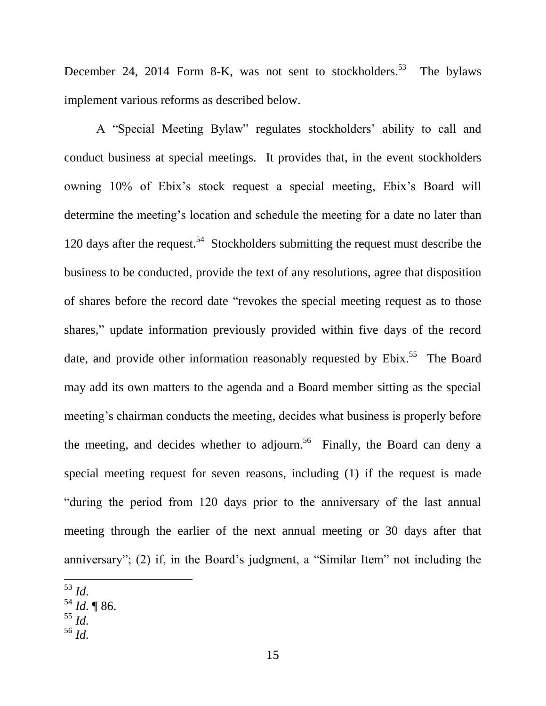December 24, 2014 Form 8-K, was not sent to stockholders.<sup>53</sup> The bylaws implement various reforms as described below.

A "Special Meeting Bylaw" regulates stockholders' ability to call and conduct business at special meetings. It provides that, in the event stockholders owning 10% of Ebix's stock request a special meeting, Ebix's Board will determine the meeting's location and schedule the meeting for a date no later than 120 days after the request.<sup>54</sup> Stockholders submitting the request must describe the business to be conducted, provide the text of any resolutions, agree that disposition of shares before the record date "revokes the special meeting request as to those shares," update information previously provided within five days of the record date, and provide other information reasonably requested by Ebix.<sup>55</sup> The Board may add its own matters to the agenda and a Board member sitting as the special meeting's chairman conducts the meeting, decides what business is properly before the meeting, and decides whether to adjourn.<sup>56</sup> Finally, the Board can deny a special meeting request for seven reasons, including (1) if the request is made "during the period from 120 days prior to the anniversary of the last annual meeting through the earlier of the next annual meeting or 30 days after that anniversary"; (2) if, in the Board's judgment, a "Similar Item" not including the

- <sup>54</sup> *Id.* ¶ 86.
- <sup>55</sup> *Id.*
- <sup>56</sup> *Id.*

<sup>53</sup> *Id.*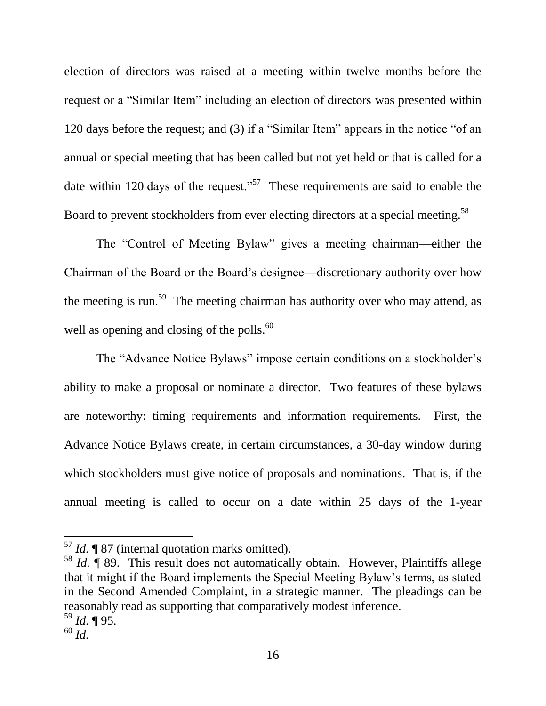election of directors was raised at a meeting within twelve months before the request or a "Similar Item" including an election of directors was presented within 120 days before the request; and (3) if a "Similar Item" appears in the notice "of an annual or special meeting that has been called but not yet held or that is called for a date within 120 days of the request."<sup>57</sup> These requirements are said to enable the Board to prevent stockholders from ever electing directors at a special meeting.<sup>58</sup>

The "Control of Meeting Bylaw" gives a meeting chairman—either the Chairman of the Board or the Board's designee—discretionary authority over how the meeting is run.<sup>59</sup> The meeting chairman has authority over who may attend, as well as opening and closing of the polls. $60$ 

The "Advance Notice Bylaws" impose certain conditions on a stockholder's ability to make a proposal or nominate a director. Two features of these bylaws are noteworthy: timing requirements and information requirements. First, the Advance Notice Bylaws create, in certain circumstances, a 30-day window during which stockholders must give notice of proposals and nominations. That is, if the annual meeting is called to occur on a date within 25 days of the 1-year

<sup>57</sup> *Id.* ¶ 87 (internal quotation marks omitted).

<sup>58</sup> *Id.* ¶ 89. This result does not automatically obtain. However, Plaintiffs allege that it might if the Board implements the Special Meeting Bylaw's terms, as stated in the Second Amended Complaint, in a strategic manner. The pleadings can be reasonably read as supporting that comparatively modest inference. <sup>59</sup> *Id.* ¶ 95.

<sup>60</sup> *Id.*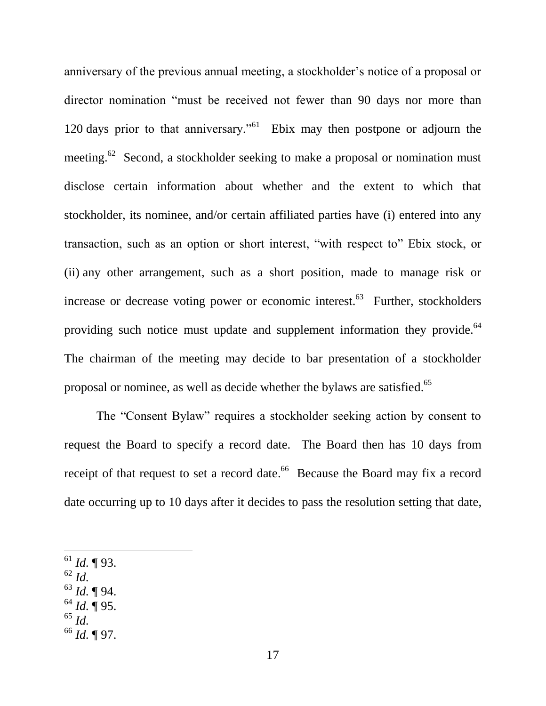anniversary of the previous annual meeting, a stockholder's notice of a proposal or director nomination "must be received not fewer than 90 days nor more than 120 days prior to that anniversary.<sup> $561$ </sup> Ebix may then postpone or adjourn the meeting.<sup>62</sup> Second, a stockholder seeking to make a proposal or nomination must disclose certain information about whether and the extent to which that stockholder, its nominee, and/or certain affiliated parties have (i) entered into any transaction, such as an option or short interest, "with respect to" Ebix stock, or (ii) any other arrangement, such as a short position, made to manage risk or increase or decrease voting power or economic interest.<sup>63</sup> Further, stockholders providing such notice must update and supplement information they provide.<sup>64</sup> The chairman of the meeting may decide to bar presentation of a stockholder proposal or nominee, as well as decide whether the bylaws are satisfied.<sup>65</sup>

The "Consent Bylaw" requires a stockholder seeking action by consent to request the Board to specify a record date. The Board then has 10 days from receipt of that request to set a record date.<sup>66</sup> Because the Board may fix a record date occurring up to 10 days after it decides to pass the resolution setting that date,

- $^{61}$  *Id.* ¶ 93.
- <sup>62</sup> *Id.*

- <sup>63</sup> *Id.* ¶ 94.
- $^{64}$  *Id.* ¶ 95.
- <sup>65</sup> *Id.*
- <sup>66</sup> *Id.* ¶ 97.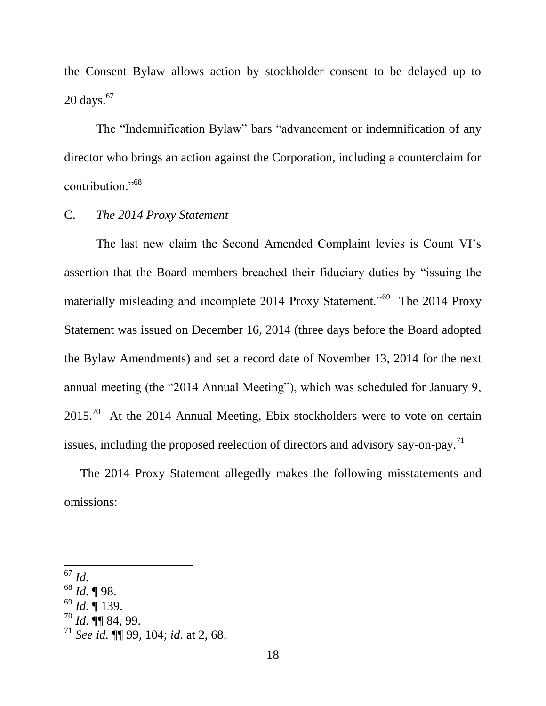the Consent Bylaw allows action by stockholder consent to be delayed up to 20 days. 67

The "Indemnification Bylaw" bars "advancement or indemnification of any director who brings an action against the Corporation, including a counterclaim for contribution."<sup>68</sup>

### C. *The 2014 Proxy Statement*

The last new claim the Second Amended Complaint levies is Count VI's assertion that the Board members breached their fiduciary duties by "issuing the materially misleading and incomplete 2014 Proxy Statement.<sup>"69</sup> The 2014 Proxy Statement was issued on December 16, 2014 (three days before the Board adopted the Bylaw Amendments) and set a record date of November 13, 2014 for the next annual meeting (the "2014 Annual Meeting"), which was scheduled for January 9,  $2015<sup>70</sup>$  At the 2014 Annual Meeting, Ebix stockholders were to vote on certain issues, including the proposed reelection of directors and advisory say-on-pay.<sup>71</sup>

The 2014 Proxy Statement allegedly makes the following misstatements and omissions:

- <sup>68</sup> *Id.* ¶ 98.
- <sup>69</sup> *Id.* ¶ 139.
- $^{70}$  *Id.*  $\P\P$  84, 99.

<sup>67</sup> *Id.*

<sup>71</sup> *See id.* ¶¶ 99, 104; *id.* at 2, 68.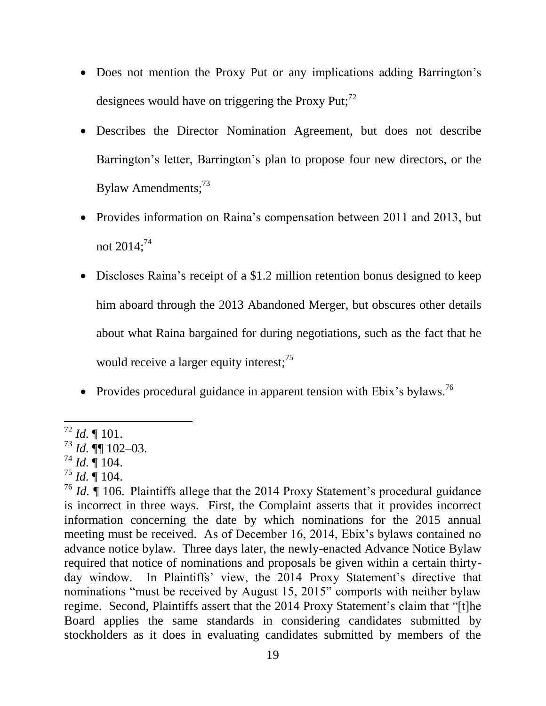- Does not mention the Proxy Put or any implications adding Barrington's designees would have on triggering the Proxy Put; $^{72}$
- Describes the Director Nomination Agreement, but does not describe Barrington's letter, Barrington's plan to propose four new directors, or the Bylaw Amendments; $^{73}$
- Provides information on Raina's compensation between 2011 and 2013, but not  $2014$ ;<sup>74</sup>
- Discloses Raina's receipt of a \$1.2 million retention bonus designed to keep him aboard through the 2013 Abandoned Merger, but obscures other details about what Raina bargained for during negotiations, such as the fact that he would receive a larger equity interest;<sup>75</sup>
- Provides procedural guidance in apparent tension with Ebix's bylaws.<sup>76</sup>

l <sup>72</sup> *Id.* ¶ 101.

 $^{73}$  *Id.*  $\dot{\P}$  102–03.

 $^{74}$  *Id.*  $\sqrt{\phantom{0}}$  104.

 $^{75}$  *Id.*  $\overline{$  104.

<sup>76</sup> *Id.* ¶ 106. Plaintiffs allege that the 2014 Proxy Statement's procedural guidance is incorrect in three ways. First, the Complaint asserts that it provides incorrect information concerning the date by which nominations for the 2015 annual meeting must be received. As of December 16, 2014, Ebix's bylaws contained no advance notice bylaw. Three days later, the newly-enacted Advance Notice Bylaw required that notice of nominations and proposals be given within a certain thirtyday window. In Plaintiffs' view, the 2014 Proxy Statement's directive that nominations "must be received by August 15, 2015" comports with neither bylaw regime. Second, Plaintiffs assert that the 2014 Proxy Statement's claim that "[t]he Board applies the same standards in considering candidates submitted by stockholders as it does in evaluating candidates submitted by members of the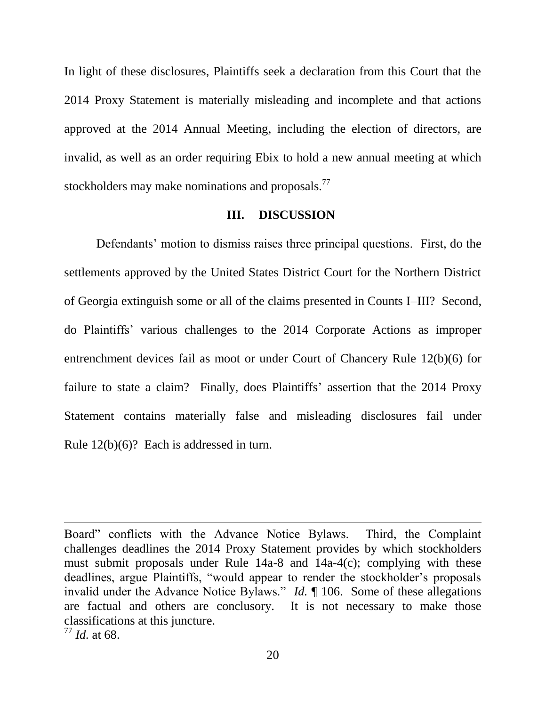In light of these disclosures, Plaintiffs seek a declaration from this Court that the 2014 Proxy Statement is materially misleading and incomplete and that actions approved at the 2014 Annual Meeting, including the election of directors, are invalid, as well as an order requiring Ebix to hold a new annual meeting at which stockholders may make nominations and proposals.<sup>77</sup>

#### **III. DISCUSSION**

Defendants' motion to dismiss raises three principal questions. First, do the settlements approved by the United States District Court for the Northern District of Georgia extinguish some or all of the claims presented in Counts I–III? Second, do Plaintiffs' various challenges to the 2014 Corporate Actions as improper entrenchment devices fail as moot or under Court of Chancery Rule 12(b)(6) for failure to state a claim? Finally, does Plaintiffs' assertion that the 2014 Proxy Statement contains materially false and misleading disclosures fail under Rule 12(b)(6)? Each is addressed in turn.

Board" conflicts with the Advance Notice Bylaws. Third, the Complaint challenges deadlines the 2014 Proxy Statement provides by which stockholders must submit proposals under Rule 14a-8 and 14a-4(c); complying with these deadlines, argue Plaintiffs, "would appear to render the stockholder's proposals invalid under the Advance Notice Bylaws." *Id.* ¶ 106. Some of these allegations are factual and others are conclusory. It is not necessary to make those classifications at this juncture.

<sup>77</sup> *Id.* at 68.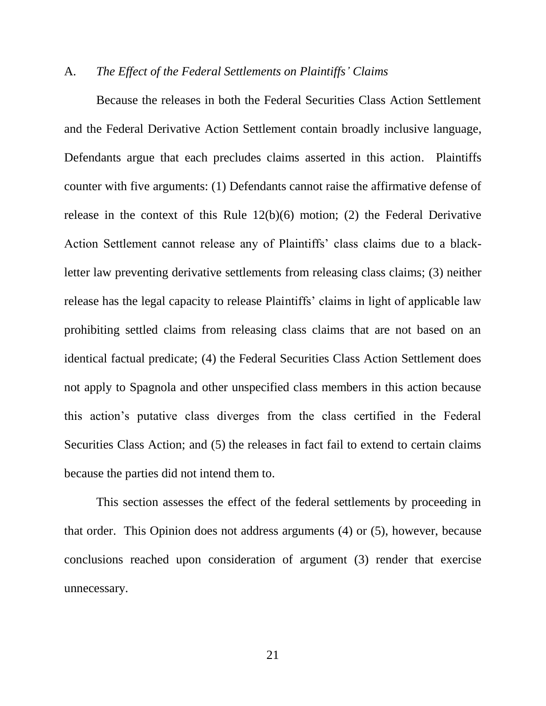#### A. *The Effect of the Federal Settlements on Plaintiffs' Claims*

Because the releases in both the Federal Securities Class Action Settlement and the Federal Derivative Action Settlement contain broadly inclusive language, Defendants argue that each precludes claims asserted in this action. Plaintiffs counter with five arguments: (1) Defendants cannot raise the affirmative defense of release in the context of this Rule 12(b)(6) motion; (2) the Federal Derivative Action Settlement cannot release any of Plaintiffs' class claims due to a blackletter law preventing derivative settlements from releasing class claims; (3) neither release has the legal capacity to release Plaintiffs' claims in light of applicable law prohibiting settled claims from releasing class claims that are not based on an identical factual predicate; (4) the Federal Securities Class Action Settlement does not apply to Spagnola and other unspecified class members in this action because this action's putative class diverges from the class certified in the Federal Securities Class Action; and (5) the releases in fact fail to extend to certain claims because the parties did not intend them to.

This section assesses the effect of the federal settlements by proceeding in that order. This Opinion does not address arguments (4) or (5), however, because conclusions reached upon consideration of argument (3) render that exercise unnecessary.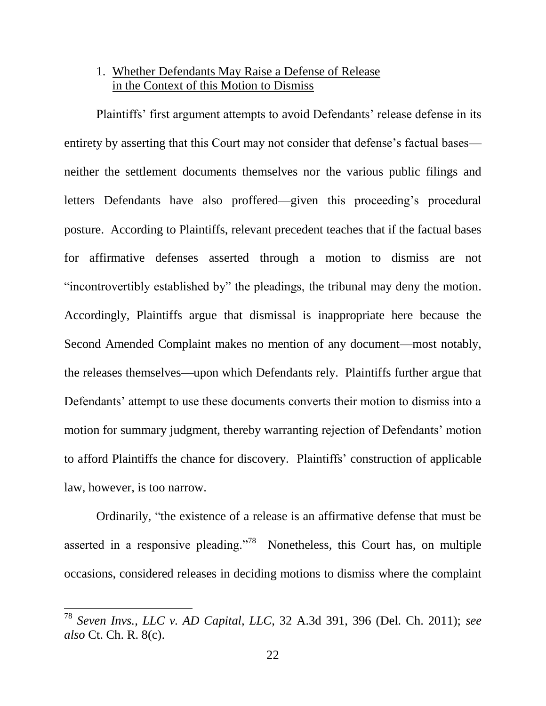# 1. Whether Defendants May Raise a Defense of Release in the Context of this Motion to Dismiss

Plaintiffs' first argument attempts to avoid Defendants' release defense in its entirety by asserting that this Court may not consider that defense's factual bases neither the settlement documents themselves nor the various public filings and letters Defendants have also proffered—given this proceeding's procedural posture. According to Plaintiffs, relevant precedent teaches that if the factual bases for affirmative defenses asserted through a motion to dismiss are not "incontrovertibly established by" the pleadings, the tribunal may deny the motion. Accordingly, Plaintiffs argue that dismissal is inappropriate here because the Second Amended Complaint makes no mention of any document—most notably, the releases themselves—upon which Defendants rely. Plaintiffs further argue that Defendants' attempt to use these documents converts their motion to dismiss into a motion for summary judgment, thereby warranting rejection of Defendants' motion to afford Plaintiffs the chance for discovery. Plaintiffs' construction of applicable law, however, is too narrow.

Ordinarily, "the existence of a release is an affirmative defense that must be asserted in a responsive pleading."<sup>78</sup> Nonetheless, this Court has, on multiple occasions, considered releases in deciding motions to dismiss where the complaint

<sup>78</sup> *Seven Invs., LLC v. AD Capital, LLC*, 32 A.3d 391, 396 (Del. Ch. 2011); *see also* Ct. Ch. R. 8(c).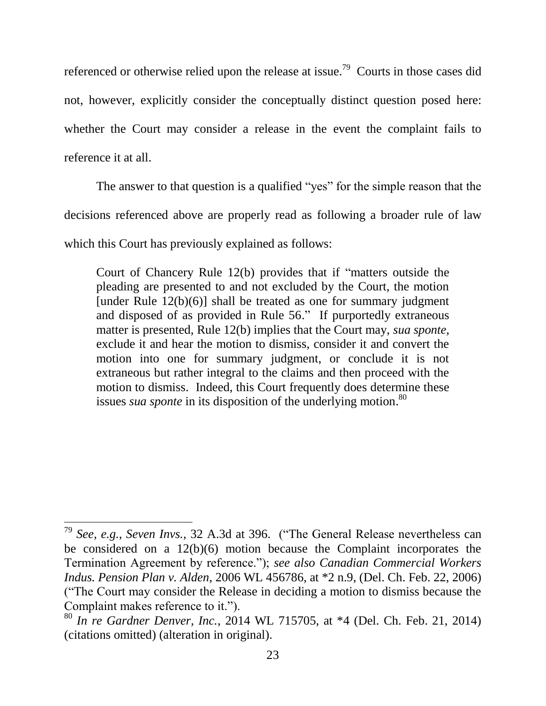referenced or otherwise relied upon the release at issue.<sup>79</sup> Courts in those cases did not, however, explicitly consider the conceptually distinct question posed here: whether the Court may consider a release in the event the complaint fails to reference it at all.

The answer to that question is a qualified "yes" for the simple reason that the

decisions referenced above are properly read as following a broader rule of law

which this Court has previously explained as follows:

 $\overline{\phantom{a}}$ 

[Court of Chancery Rule 12\(b\)](https://a.next.westlaw.com/Link/Document/FullText?findType=L&pubNum=1007662&cite=DERCHCTR12&originatingDoc=I9172d4439b4411e3a659df62eba144e8&refType=LQ&originationContext=document&transitionType=DocumentItem&contextData=(sc.UserEnteredCitation)) provides that if "matters outside the pleading are presented to and not excluded by the Court, the motion [under Rule  $12(b)(6)$ ] shall be treated as one for summary judgment and disposed of as provided in Rule 56." If purportedly extraneous matter is presented, [Rule 12\(b\)](https://a.next.westlaw.com/Link/Document/FullText?findType=L&pubNum=1007662&cite=DERCHCTR12&originatingDoc=I9172d4439b4411e3a659df62eba144e8&refType=LQ&originationContext=document&transitionType=DocumentItem&contextData=(sc.UserEnteredCitation)) implies that the Court may, *sua sponte,* exclude it and hear the motion to dismiss, consider it and convert the motion into one for summary judgment, or conclude it is not extraneous but rather integral to the claims and then proceed with the motion to dismiss. Indeed, this Court frequently does determine these issues *sua sponte* in its disposition of the underlying motion.<sup>80</sup>

<sup>79</sup> *See, e.g.*, *Seven Invs.*, 32 A.3d at 396. ("The General Release nevertheless can be considered on a 12(b)(6) motion because the Complaint incorporates the Termination Agreement by reference."); *see also Canadian Commercial Workers Indus. Pension Plan v. Alden*, 2006 WL 456786, at \*2 n.9, (Del. Ch. Feb. 22, 2006) ("The Court may consider the Release in deciding a motion to dismiss because the Complaint makes reference to it.").

<sup>80</sup> *In re Gardner Denver, Inc.*, 2014 WL 715705, at \*4 (Del. Ch. Feb. 21, 2014) (citations omitted) (alteration in original).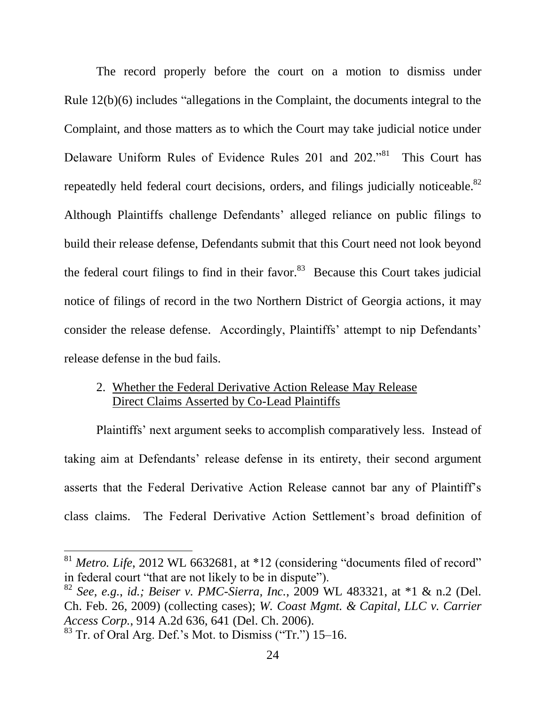The record properly before the court on a motion to dismiss under Rule 12(b)(6) includes "allegations in the Complaint, the documents integral to the Complaint, and those matters as to which the Court may take judicial notice under Delaware Uniform Rules of Evidence Rules 201 and 202."<sup>81</sup> This Court has repeatedly held federal court decisions, orders, and filings judicially noticeable.<sup>82</sup> Although Plaintiffs challenge Defendants' alleged reliance on public filings to build their release defense, Defendants submit that this Court need not look beyond the federal court filings to find in their favor. $83$  Because this Court takes judicial notice of filings of record in the two Northern District of Georgia actions, it may consider the release defense. Accordingly, Plaintiffs' attempt to nip Defendants' release defense in the bud fails.

# 2. Whether the Federal Derivative Action Release May Release Direct Claims Asserted by Co-Lead Plaintiffs

Plaintiffs' next argument seeks to accomplish comparatively less. Instead of taking aim at Defendants' release defense in its entirety, their second argument asserts that the Federal Derivative Action Release cannot bar any of Plaintiff's class claims. The Federal Derivative Action Settlement's broad definition of

<sup>&</sup>lt;sup>81</sup> *Metro. Life*, 2012 WL 6632681, at \*12 (considering "documents filed of record" in federal court "that are not likely to be in dispute").

<sup>82</sup> *See, e.g.*, *id.; Beiser v. PMC-Sierra, Inc.*, 2009 WL 483321, at \*1 & n.2 (Del. Ch. Feb. 26, 2009) (collecting cases); *W. Coast Mgmt. & Capital, LLC v. Carrier Access Corp.*, 914 A.2d 636, 641 (Del. Ch. 2006).

<sup>83</sup> Tr. of Oral Arg. Def.'s Mot. to Dismiss ("Tr.") 15–16.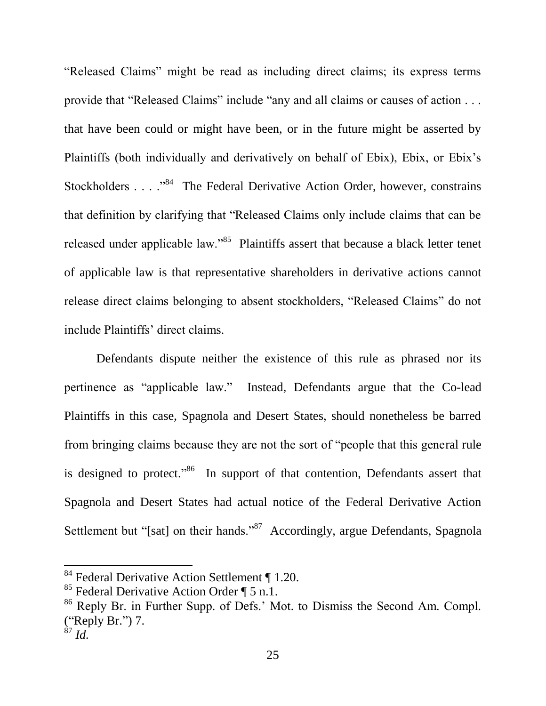"Released Claims" might be read as including direct claims; its express terms provide that "Released Claims" include "any and all claims or causes of action . . . that have been could or might have been, or in the future might be asserted by Plaintiffs (both individually and derivatively on behalf of Ebix), Ebix, or Ebix's Stockholders  $\dots$  . . . . . . The Federal Derivative Action Order, however, constrains that definition by clarifying that "Released Claims only include claims that can be released under applicable law."<sup>85</sup> Plaintiffs assert that because a black letter tenet of applicable law is that representative shareholders in derivative actions cannot release direct claims belonging to absent stockholders, "Released Claims" do not include Plaintiffs' direct claims.

Defendants dispute neither the existence of this rule as phrased nor its pertinence as "applicable law." Instead, Defendants argue that the Co-lead Plaintiffs in this case, Spagnola and Desert States, should nonetheless be barred from bringing claims because they are not the sort of "people that this general rule is designed to protect."<sup>86</sup> In support of that contention, Defendants assert that Spagnola and Desert States had actual notice of the Federal Derivative Action Settlement but "[sat] on their hands."<sup>87</sup> Accordingly, argue Defendants, Spagnola

<sup>&</sup>lt;sup>84</sup> Federal Derivative Action Settlement ¶ 1.20.

<sup>&</sup>lt;sup>85</sup> Federal Derivative Action Order  $\P$  5 n.1.

<sup>86</sup> Reply Br. in Further Supp. of Defs.' Mot. to Dismiss the Second Am. Compl. ("Reply Br.") 7.

 $^{87}$  *Id.*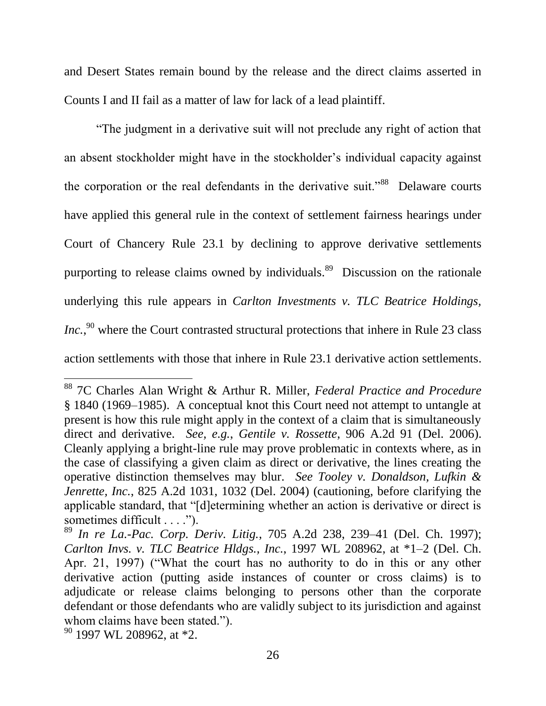and Desert States remain bound by the release and the direct claims asserted in Counts I and II fail as a matter of law for lack of a lead plaintiff.

"The judgment in a derivative suit will not preclude any right of action that an absent stockholder might have in the stockholder's individual capacity against the corporation or the real defendants in the derivative suit."<sup>88</sup> Delaware courts have applied this general rule in the context of settlement fairness hearings under Court of Chancery Rule 23.1 by declining to approve derivative settlements purporting to release claims owned by individuals.<sup>89</sup> Discussion on the rationale underlying this rule appears in *Carlton Investments v. TLC Beatrice Holdings, Inc.*,<sup>90</sup> where the Court contrasted structural protections that inhere in Rule 23 class action settlements with those that inhere in Rule 23.1 derivative action settlements.

<sup>88</sup> 7C Charles Alan Wright & Arthur R. Miller, *Federal Practice and Procedure* § 1840 (1969–1985). A conceptual knot this Court need not attempt to untangle at present is how this rule might apply in the context of a claim that is simultaneously direct and derivative. *See, e.g.*, *Gentile v. Rossette*, 906 A.2d 91 (Del. 2006). Cleanly applying a bright-line rule may prove problematic in contexts where, as in the case of classifying a given claim as direct or derivative, the lines creating the operative distinction themselves may blur. *See Tooley v. Donaldson, Lufkin & Jenrette, Inc.*, 825 A.2d 1031, 1032 (Del. 2004) (cautioning, before clarifying the applicable standard, that "[d]etermining whether an action is derivative or direct is sometimes difficult . . . .").

<sup>89</sup> *In re La.-Pac. Corp. Deriv. Litig.*, 705 A.2d 238, 239–41 (Del. Ch. 1997); *Carlton Invs. v. TLC Beatrice Hldgs., Inc.*, 1997 WL 208962, at \*1–2 (Del. Ch. Apr. 21, 1997) ("What the court has no authority to do in this or any other derivative action (putting aside instances of counter or cross claims) is to adjudicate or release claims belonging to persons other than the corporate defendant or those defendants who are validly subject to its jurisdiction and against whom claims have been stated.").

<sup>90</sup> 1997 WL 208962, at \*2.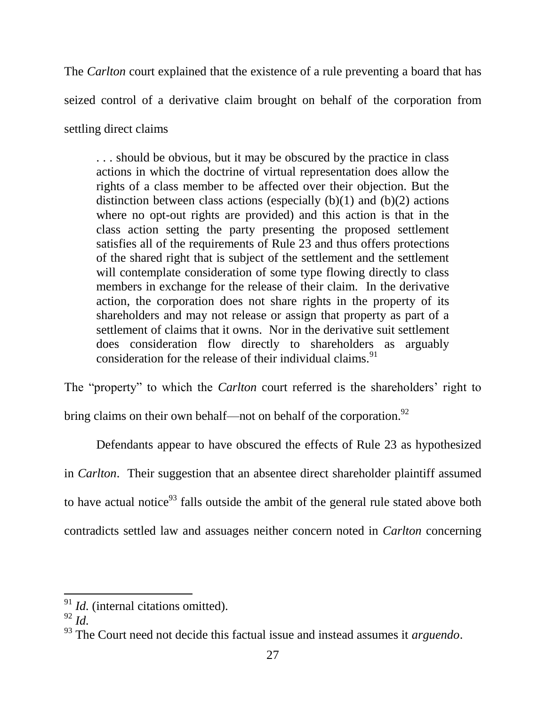The *Carlton* court explained that the existence of a rule preventing a board that has seized control of a derivative claim brought on behalf of the corporation from settling direct claims

. . . should be obvious, but it may be obscured by the practice in class actions in which the doctrine of virtual representation does allow the rights of a class member to be affected over their objection. But the distinction between class actions (especially  $(b)(1)$  and  $(b)(2)$  actions where no opt-out rights are provided) and this action is that in the class action setting the party presenting the proposed settlement satisfies all of the requirements of Rule 23 and thus offers protections of the shared right that is subject of the settlement and the settlement will contemplate consideration of some type flowing directly to class members in exchange for the release of their claim. In the derivative action, the corporation does not share rights in the property of its shareholders and may not release or assign that property as part of a settlement of claims that it owns. Nor in the derivative suit settlement does consideration flow directly to shareholders as arguably consideration for the release of their individual claims.<sup>91</sup>

The "property" to which the *Carlton* court referred is the shareholders' right to bring claims on their own behalf—not on behalf of the corporation.<sup>92</sup>

Defendants appear to have obscured the effects of Rule 23 as hypothesized in *Carlton*. Their suggestion that an absentee direct shareholder plaintiff assumed to have actual notice<sup>93</sup> falls outside the ambit of the general rule stated above both contradicts settled law and assuages neither concern noted in *Carlton* concerning

<sup>&</sup>lt;sup>91</sup> *Id.* (internal citations omitted).

<sup>92</sup> *Id.*

<sup>93</sup> The Court need not decide this factual issue and instead assumes it *arguendo*.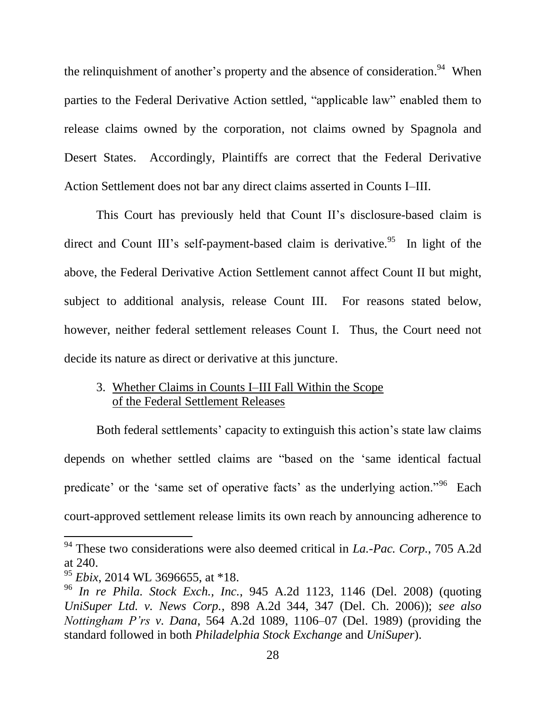the relinquishment of another's property and the absence of consideration.<sup>94</sup> When parties to the Federal Derivative Action settled, "applicable law" enabled them to release claims owned by the corporation, not claims owned by Spagnola and Desert States. Accordingly, Plaintiffs are correct that the Federal Derivative Action Settlement does not bar any direct claims asserted in Counts I–III.

This Court has previously held that Count II's disclosure-based claim is direct and Count III's self-payment-based claim is derivative.<sup>95</sup> In light of the above, the Federal Derivative Action Settlement cannot affect Count II but might, subject to additional analysis, release Count III. For reasons stated below, however, neither federal settlement releases Count I. Thus, the Court need not decide its nature as direct or derivative at this juncture.

# 3. Whether Claims in Counts I–III Fall Within the Scope of the Federal Settlement Releases

Both federal settlements' capacity to extinguish this action's state law claims depends on whether settled claims are "based on the 'same identical factual predicate' or the 'same set of operative facts' as the underlying action."<sup>96</sup> Each court-approved settlement release limits its own reach by announcing adherence to

<sup>94</sup> These two considerations were also deemed critical in *La.-Pac. Corp.*, 705 A.2d at 240.

<sup>95</sup> *Ebix*, 2014 WL 3696655, at \*18.

<sup>96</sup> *In re Phila. Stock Exch., Inc.*, 945 A.2d 1123, 1146 (Del. 2008) (quoting *UniSuper Ltd. v. News Corp.*, 898 A.2d 344, 347 (Del. Ch. 2006)); *see also Nottingham P'rs v. Dana*, 564 A.2d 1089, 1106–07 (Del. 1989) (providing the standard followed in both *Philadelphia Stock Exchange* and *UniSuper*).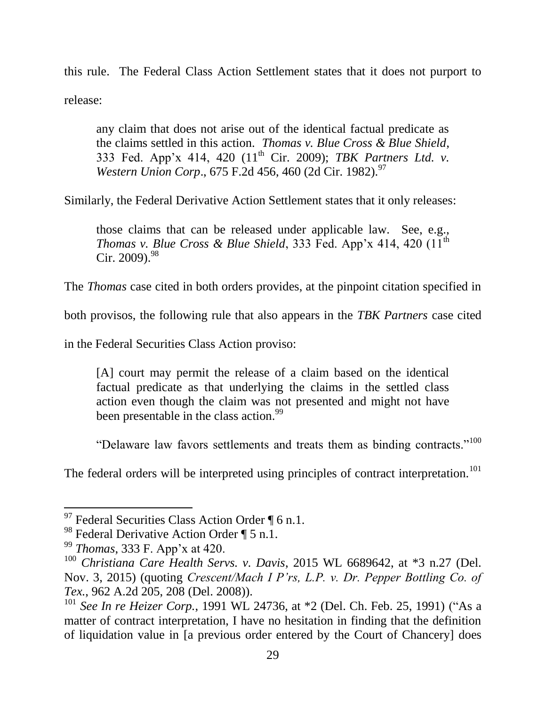this rule. The Federal Class Action Settlement states that it does not purport to release:

any claim that does not arise out of the identical factual predicate as the claims settled in this action. *Thomas v. Blue Cross & Blue Shield*, 333 Fed. App'x 414, 420 (11th Cir. 2009); *TBK Partners Ltd. v. Western Union Corp.*, 675 F.2d 456, 460 (2d Cir. 1982).<sup>97</sup>

Similarly, the Federal Derivative Action Settlement states that it only releases:

those claims that can be released under applicable law. See, e.g., *Thomas v. Blue Cross & Blue Shield*, 333 Fed. App'x 414, 420  $(11<sup>th</sup>$ Cir. 2009).  $98$ 

The *Thomas* case cited in both orders provides, at the pinpoint citation specified in

both provisos, the following rule that also appears in the *TBK Partners* case cited

in the Federal Securities Class Action proviso:

[A] court may permit the release of a claim based on the identical factual predicate as that underlying the claims in the settled class action even though the claim was not presented and might not have been presentable in the class action.<sup>99</sup>

"Delaware law favors settlements and treats them as binding contracts."<sup>100</sup>

The federal orders will be interpreted using principles of contract interpretation.<sup>101</sup>

<sup>&</sup>lt;sup>97</sup> Federal Securities Class Action Order  $\P$  6 n.1.

<sup>&</sup>lt;sup>98</sup> Federal Derivative Action Order  $\P$  5 n.1.

<sup>99</sup> *Thomas*, 333 F. App'x at 420.

<sup>100</sup> *Christiana Care Health Servs. v. Davis*, 2015 WL 6689642, at \*3 n.27 (Del. Nov. 3, 2015) (quoting *Crescent/Mach I P'rs, L.P. v. Dr. Pepper Bottling Co. of Tex.*, 962 A.2d 205, 208 (Del. 2008)).

<sup>101</sup> *See In re Heizer Corp.*, 1991 WL 24736, at \*2 (Del. Ch. Feb. 25, 1991) ("As a matter of contract interpretation, I have no hesitation in finding that the definition of liquidation value in [a previous order entered by the Court of Chancery] does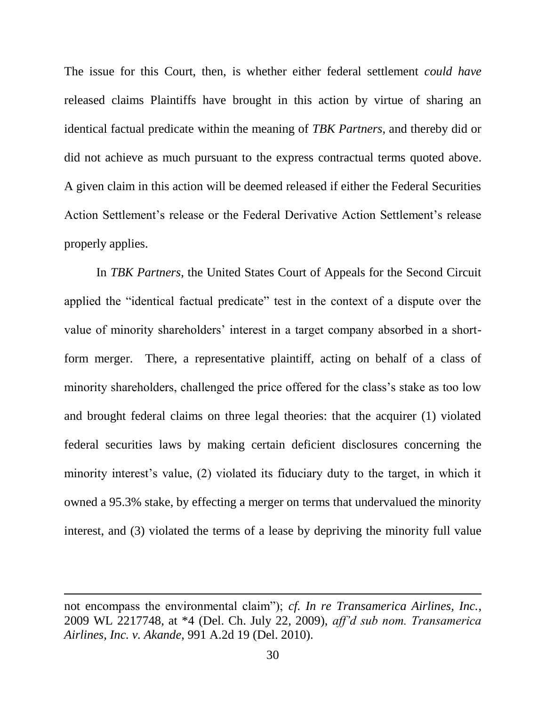The issue for this Court, then, is whether either federal settlement *could have* released claims Plaintiffs have brought in this action by virtue of sharing an identical factual predicate within the meaning of *TBK Partners*, and thereby did or did not achieve as much pursuant to the express contractual terms quoted above. A given claim in this action will be deemed released if either the Federal Securities Action Settlement's release or the Federal Derivative Action Settlement's release properly applies.

In *TBK Partners*, the United States Court of Appeals for the Second Circuit applied the "identical factual predicate" test in the context of a dispute over the value of minority shareholders' interest in a target company absorbed in a shortform merger. There, a representative plaintiff, acting on behalf of a class of minority shareholders, challenged the price offered for the class's stake as too low and brought federal claims on three legal theories: that the acquirer (1) violated federal securities laws by making certain deficient disclosures concerning the minority interest's value, (2) violated its fiduciary duty to the target, in which it owned a 95.3% stake, by effecting a merger on terms that undervalued the minority interest, and (3) violated the terms of a lease by depriving the minority full value

not encompass the environmental claim"); *cf. In re Transamerica Airlines, Inc.*, 2009 WL 2217748, at \*4 (Del. Ch. July 22, 2009), *aff'd sub nom. Transamerica Airlines, Inc. v. Akande*, 991 A.2d 19 (Del. 2010).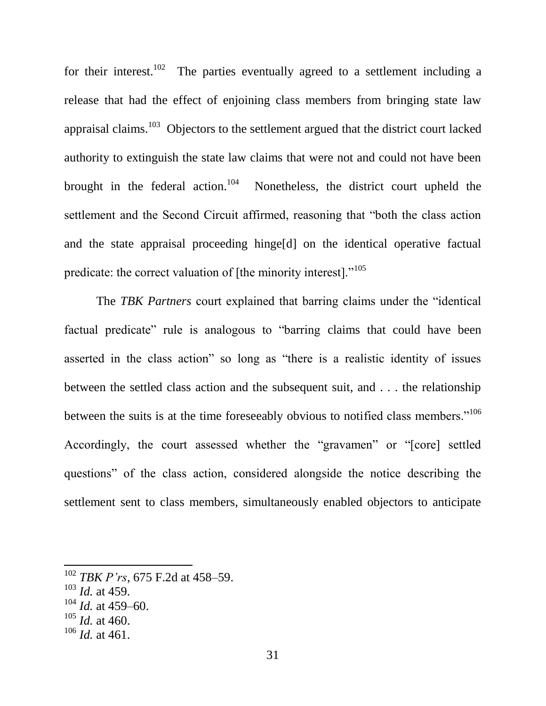for their interest.<sup>102</sup> The parties eventually agreed to a settlement including a release that had the effect of enjoining class members from bringing state law appraisal claims.<sup>103</sup> Objectors to the settlement argued that the district court lacked authority to extinguish the state law claims that were not and could not have been brought in the federal action.<sup>104</sup> Nonetheless, the district court upheld the settlement and the Second Circuit affirmed, reasoning that "both the class action and the state appraisal proceeding hinge[d] on the identical operative factual predicate: the correct valuation of [the minority interest]."<sup>105</sup>

The *TBK Partners* court explained that barring claims under the "identical factual predicate" rule is analogous to "barring claims that could have been asserted in the class action" so long as "there is a realistic identity of issues between the settled class action and the subsequent suit, and . . . the relationship between the suits is at the time foreseeably obvious to notified class members."<sup>106</sup> Accordingly, the court assessed whether the "gravamen" or "[core] settled questions" of the class action, considered alongside the notice describing the settlement sent to class members, simultaneously enabled objectors to anticipate

<sup>102</sup> *TBK P'rs*, 675 F.2d at 458–59.

<sup>103</sup> *Id.* at 459.

 $104$  *Id.* at 459–60.

 $105$  *Id.* at 460.

<sup>106</sup> *Id.* at 461.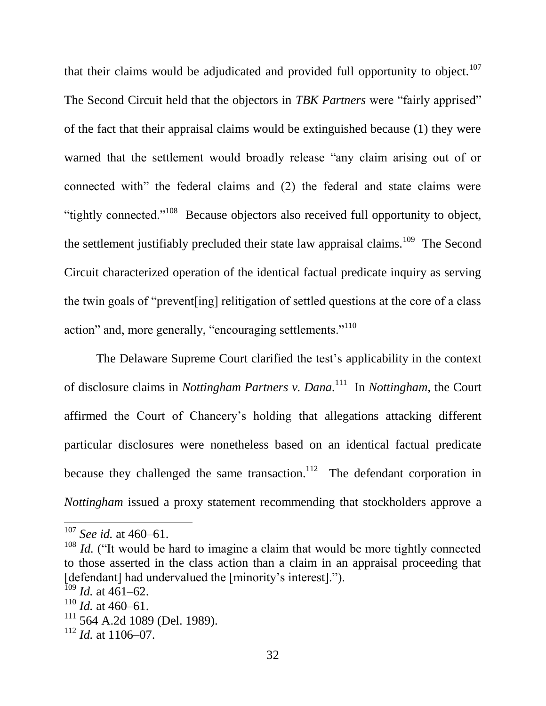that their claims would be adjudicated and provided full opportunity to object.<sup>107</sup> The Second Circuit held that the objectors in *TBK Partners* were "fairly apprised" of the fact that their appraisal claims would be extinguished because (1) they were warned that the settlement would broadly release "any claim arising out of or connected with" the federal claims and (2) the federal and state claims were "tightly connected."<sup>108</sup> Because objectors also received full opportunity to object, the settlement justifiably precluded their state law appraisal claims.<sup>109</sup> The Second Circuit characterized operation of the identical factual predicate inquiry as serving the twin goals of "prevent[ing] relitigation of settled questions at the core of a class action" and, more generally, "encouraging settlements."<sup>110</sup>

The Delaware Supreme Court clarified the test's applicability in the context of disclosure claims in *Nottingham Partners v. Dana.* <sup>111</sup> In *Nottingham*, the Court affirmed the Court of Chancery's holding that allegations attacking different particular disclosures were nonetheless based on an identical factual predicate because they challenged the same transaction.<sup>112</sup> The defendant corporation in *Nottingham* issued a proxy statement recommending that stockholders approve a

<sup>107</sup> *See id.* at 460–61.

<sup>&</sup>lt;sup>108</sup> *Id.* ("It would be hard to imagine a claim that would be more tightly connected to those asserted in the class action than a claim in an appraisal proceeding that [defendant] had undervalued the [minority's interest].").

 $109$  *Id.* at 461–62.

 $110$  *Id.* at 460–61.

<sup>111</sup> 564 A.2d 1089 (Del. 1989).

 $112$  *Id.* at 1106–07.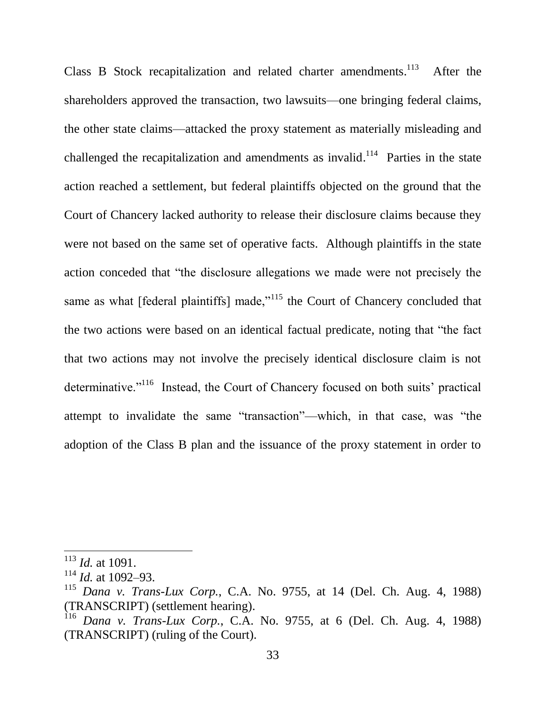Class B Stock recapitalization and related charter amendments.<sup>113</sup> After the shareholders approved the transaction, two lawsuits—one bringing federal claims, the other state claims—attacked the proxy statement as materially misleading and challenged the recapitalization and amendments as invalid.<sup>114</sup> Parties in the state action reached a settlement, but federal plaintiffs objected on the ground that the Court of Chancery lacked authority to release their disclosure claims because they were not based on the same set of operative facts. Although plaintiffs in the state action conceded that "the disclosure allegations we made were not precisely the same as what [federal plaintiffs] made,"<sup>115</sup> the Court of Chancery concluded that the two actions were based on an identical factual predicate, noting that "the fact that two actions may not involve the precisely identical disclosure claim is not determinative."<sup>116</sup> Instead, the Court of Chancery focused on both suits' practical attempt to invalidate the same "transaction"—which, in that case, was "the adoption of the Class B plan and the issuance of the proxy statement in order to

<sup>113</sup> *Id.* at 1091.

<sup>114</sup> *Id.* at 1092–93.

<sup>115</sup> *Dana v. Trans-Lux Corp.*, C.A. No. 9755, at 14 (Del. Ch. Aug. 4, 1988) (TRANSCRIPT) (settlement hearing).

<sup>116</sup> *Dana v. Trans-Lux Corp.*, C.A. No. 9755, at 6 (Del. Ch. Aug. 4, 1988) (TRANSCRIPT) (ruling of the Court).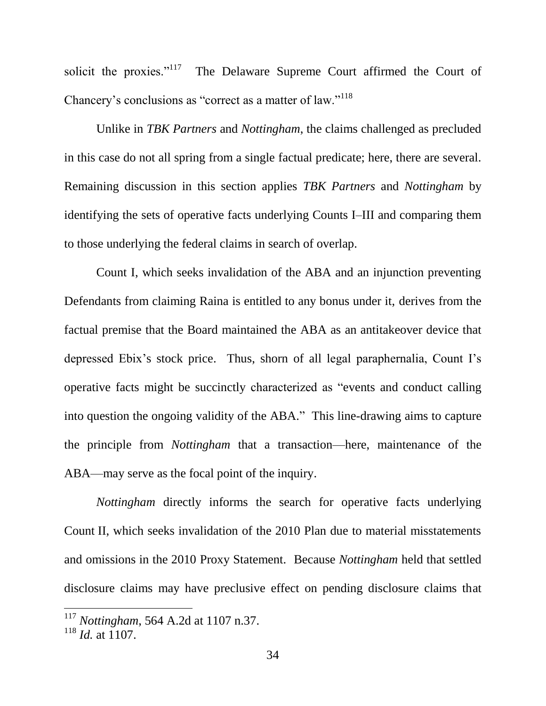solicit the proxies."<sup>117</sup> The Delaware Supreme Court affirmed the Court of Chancery's conclusions as "correct as a matter of law."<sup>118</sup>

Unlike in *TBK Partners* and *Nottingham*, the claims challenged as precluded in this case do not all spring from a single factual predicate; here, there are several. Remaining discussion in this section applies *TBK Partners* and *Nottingham* by identifying the sets of operative facts underlying Counts I–III and comparing them to those underlying the federal claims in search of overlap.

Count I, which seeks invalidation of the ABA and an injunction preventing Defendants from claiming Raina is entitled to any bonus under it, derives from the factual premise that the Board maintained the ABA as an antitakeover device that depressed Ebix's stock price. Thus, shorn of all legal paraphernalia, Count I's operative facts might be succinctly characterized as "events and conduct calling into question the ongoing validity of the ABA." This line-drawing aims to capture the principle from *Nottingham* that a transaction—here, maintenance of the ABA—may serve as the focal point of the inquiry.

*Nottingham* directly informs the search for operative facts underlying Count II, which seeks invalidation of the 2010 Plan due to material misstatements and omissions in the 2010 Proxy Statement. Because *Nottingham* held that settled disclosure claims may have preclusive effect on pending disclosure claims that

<sup>117</sup> *Nottingham*, 564 A.2d at 1107 n.37.

 $118$  *Id.* at 1107.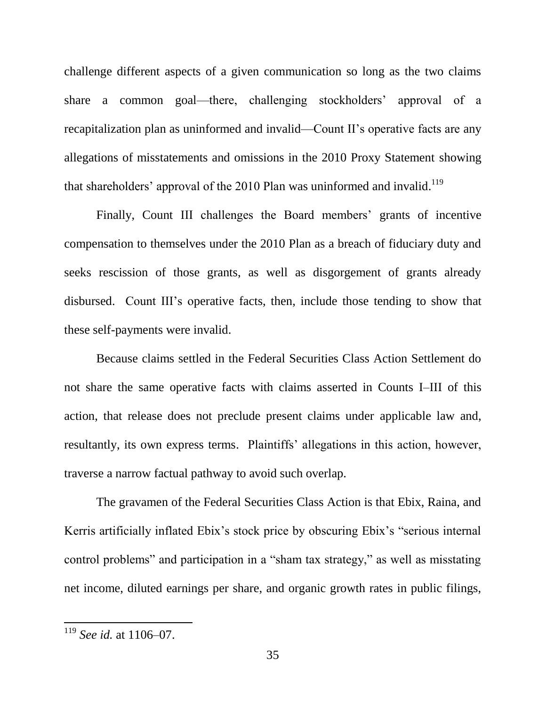challenge different aspects of a given communication so long as the two claims share a common goal—there, challenging stockholders' approval of a recapitalization plan as uninformed and invalid—Count II's operative facts are any allegations of misstatements and omissions in the 2010 Proxy Statement showing that shareholders' approval of the 2010 Plan was uninformed and invalid.<sup>119</sup>

Finally, Count III challenges the Board members' grants of incentive compensation to themselves under the 2010 Plan as a breach of fiduciary duty and seeks rescission of those grants, as well as disgorgement of grants already disbursed. Count III's operative facts, then, include those tending to show that these self-payments were invalid.

Because claims settled in the Federal Securities Class Action Settlement do not share the same operative facts with claims asserted in Counts I–III of this action, that release does not preclude present claims under applicable law and, resultantly, its own express terms. Plaintiffs' allegations in this action, however, traverse a narrow factual pathway to avoid such overlap.

The gravamen of the Federal Securities Class Action is that Ebix, Raina, and Kerris artificially inflated Ebix's stock price by obscuring Ebix's "serious internal control problems" and participation in a "sham tax strategy," as well as misstating net income, diluted earnings per share, and organic growth rates in public filings,

<sup>119</sup> *See id.* at 1106–07.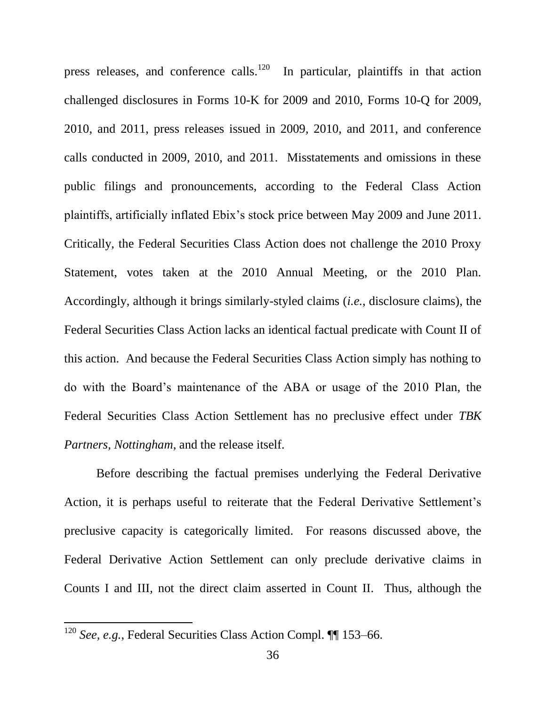press releases, and conference calls.<sup>120</sup> In particular, plaintiffs in that action challenged disclosures in Forms 10-K for 2009 and 2010, Forms 10-Q for 2009, 2010, and 2011, press releases issued in 2009, 2010, and 2011, and conference calls conducted in 2009, 2010, and 2011. Misstatements and omissions in these public filings and pronouncements, according to the Federal Class Action plaintiffs, artificially inflated Ebix's stock price between May 2009 and June 2011. Critically, the Federal Securities Class Action does not challenge the 2010 Proxy Statement, votes taken at the 2010 Annual Meeting, or the 2010 Plan. Accordingly, although it brings similarly-styled claims (*i.e.*, disclosure claims), the Federal Securities Class Action lacks an identical factual predicate with Count II of this action. And because the Federal Securities Class Action simply has nothing to do with the Board's maintenance of the ABA or usage of the 2010 Plan, the Federal Securities Class Action Settlement has no preclusive effect under *TBK Partners*, *Nottingham*, and the release itself.

Before describing the factual premises underlying the Federal Derivative Action, it is perhaps useful to reiterate that the Federal Derivative Settlement's preclusive capacity is categorically limited. For reasons discussed above, the Federal Derivative Action Settlement can only preclude derivative claims in Counts I and III, not the direct claim asserted in Count II. Thus, although the

<sup>120</sup> *See, e.g.*, Federal Securities Class Action Compl. ¶¶ 153–66.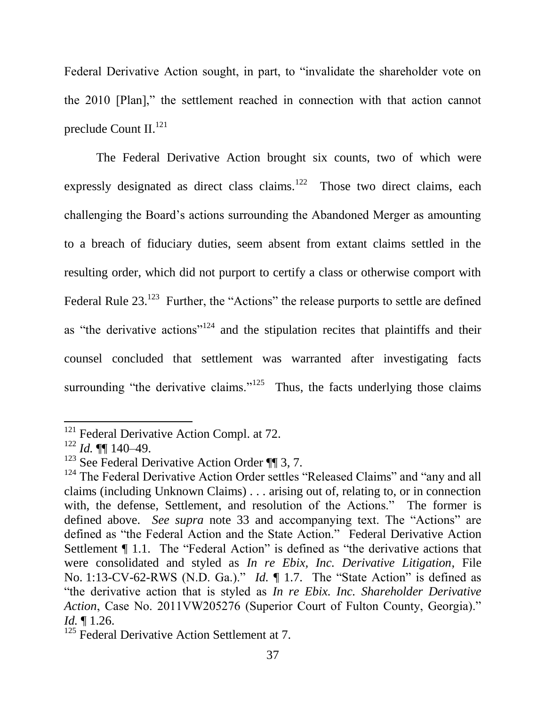Federal Derivative Action sought, in part, to "invalidate the shareholder vote on the 2010 [Plan]," the settlement reached in connection with that action cannot preclude Count II.<sup>121</sup>

The Federal Derivative Action brought six counts, two of which were expressly designated as direct class claims.<sup>122</sup> Those two direct claims, each challenging the Board's actions surrounding the Abandoned Merger as amounting to a breach of fiduciary duties, seem absent from extant claims settled in the resulting order, which did not purport to certify a class or otherwise comport with Federal Rule  $23.^{123}$  Further, the "Actions" the release purports to settle are defined as "the derivative actions"<sup>124</sup> and the stipulation recites that plaintiffs and their counsel concluded that settlement was warranted after investigating facts surrounding "the derivative claims."<sup>125</sup> Thus, the facts underlying those claims

 $121$  Federal Derivative Action Compl. at 72.

 $122$  *Id.*  $\P\P$  140–49.

 $123$  See Federal Derivative Action Order ¶ 3, 7.

 $124$  The Federal Derivative Action Order settles "Released Claims" and "any and all claims (including Unknown Claims) . . . arising out of, relating to, or in connection with, the defense, Settlement, and resolution of the Actions." The former is defined above. *See supra* note 33 and accompanying text. The "Actions" are defined as "the Federal Action and the State Action." Federal Derivative Action Settlement ¶ 1.1. The "Federal Action" is defined as "the derivative actions that were consolidated and styled as *In re Ebix, Inc. Derivative Litigation*, File No. 1:13-CV-62-RWS (N.D. Ga.)." *Id.* ¶ 1.7. The "State Action" is defined as "the derivative action that is styled as *In re Ebix. Inc. Shareholder Derivative Action*, Case No. 2011VW205276 (Superior Court of Fulton County, Georgia)." *Id.* ¶ 1.26.

<sup>&</sup>lt;sup>125</sup> Federal Derivative Action Settlement at 7.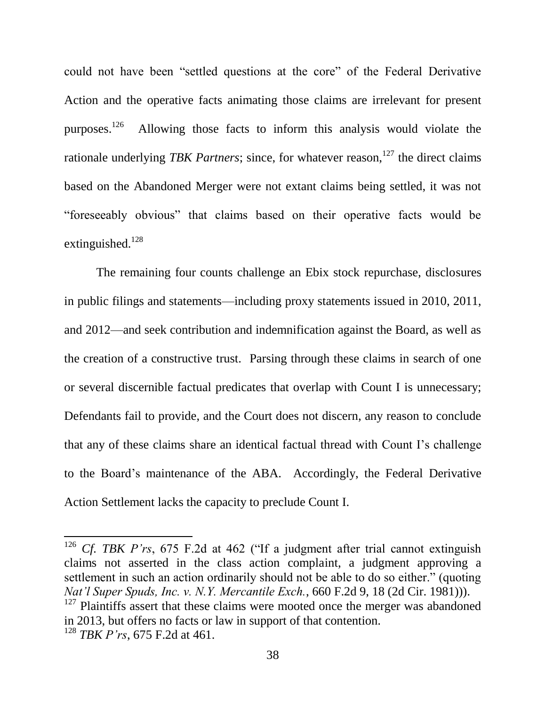could not have been "settled questions at the core" of the Federal Derivative Action and the operative facts animating those claims are irrelevant for present purposes. 126 Allowing those facts to inform this analysis would violate the rationale underlying *TBK Partners*; since, for whatever reason,<sup>127</sup> the direct claims based on the Abandoned Merger were not extant claims being settled, it was not "foreseeably obvious" that claims based on their operative facts would be extinguished. $128$ 

The remaining four counts challenge an Ebix stock repurchase, disclosures in public filings and statements—including proxy statements issued in 2010, 2011, and 2012—and seek contribution and indemnification against the Board, as well as the creation of a constructive trust. Parsing through these claims in search of one or several discernible factual predicates that overlap with Count I is unnecessary; Defendants fail to provide, and the Court does not discern, any reason to conclude that any of these claims share an identical factual thread with Count I's challenge to the Board's maintenance of the ABA. Accordingly, the Federal Derivative Action Settlement lacks the capacity to preclude Count I.

<sup>126</sup> *Cf. TBK P'rs*, 675 F.2d at 462 ("If a judgment after trial cannot extinguish claims not asserted in the class action complaint, a judgment approving a settlement in such an action ordinarily should not be able to do so either." (quoting *Nat'l Super Spuds, Inc. v. N.Y. Mercantile Exch.*, 660 F.2d 9, 18 (2d Cir. 1981))).

 $127$  Plaintiffs assert that these claims were mooted once the merger was abandoned in 2013, but offers no facts or law in support of that contention. <sup>128</sup> *TBK P'rs*, 675 F.2d at 461.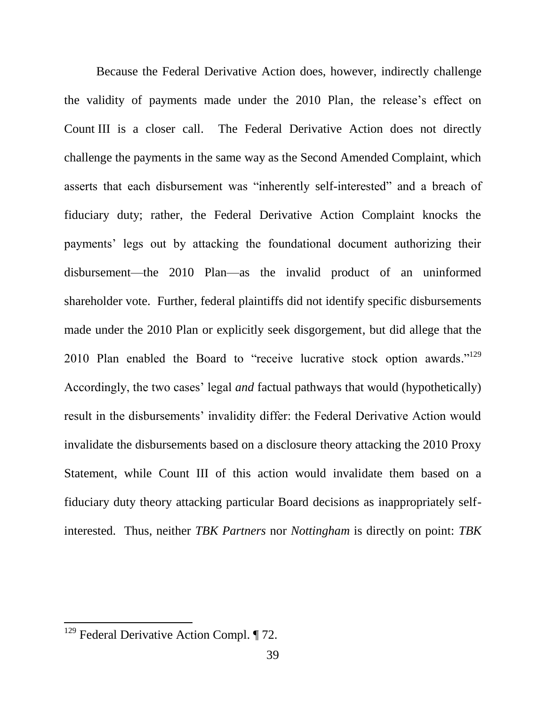Because the Federal Derivative Action does, however, indirectly challenge the validity of payments made under the 2010 Plan, the release's effect on Count III is a closer call. The Federal Derivative Action does not directly challenge the payments in the same way as the Second Amended Complaint, which asserts that each disbursement was "inherently self-interested" and a breach of fiduciary duty; rather, the Federal Derivative Action Complaint knocks the payments' legs out by attacking the foundational document authorizing their disbursement—the 2010 Plan—as the invalid product of an uninformed shareholder vote. Further, federal plaintiffs did not identify specific disbursements made under the 2010 Plan or explicitly seek disgorgement, but did allege that the 2010 Plan enabled the Board to "receive lucrative stock option awards."<sup>129</sup> Accordingly, the two cases' legal *and* factual pathways that would (hypothetically) result in the disbursements' invalidity differ: the Federal Derivative Action would invalidate the disbursements based on a disclosure theory attacking the 2010 Proxy Statement, while Count III of this action would invalidate them based on a fiduciary duty theory attacking particular Board decisions as inappropriately selfinterested. Thus, neither *TBK Partners* nor *Nottingham* is directly on point: *TBK* 

 $129$  Federal Derivative Action Compl.  $\P$  72.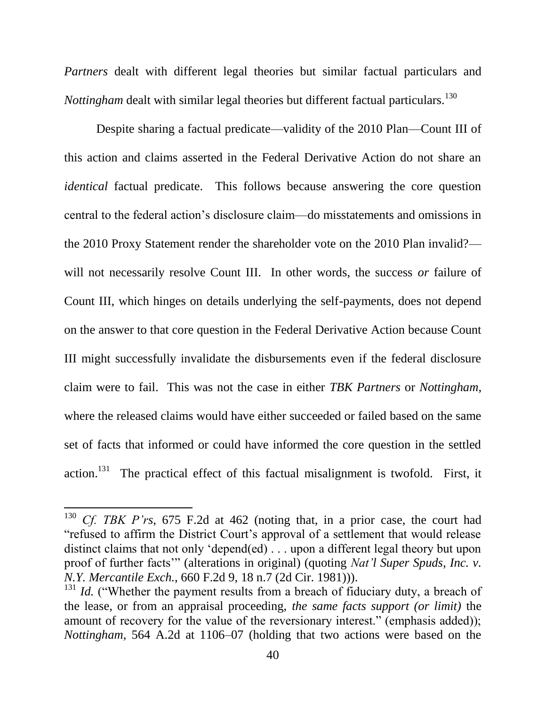*Partners* dealt with different legal theories but similar factual particulars and *Nottingham* dealt with similar legal theories but different factual particulars.<sup>130</sup>

Despite sharing a factual predicate—validity of the 2010 Plan—Count III of this action and claims asserted in the Federal Derivative Action do not share an *identical* factual predicate. This follows because answering the core question central to the federal action's disclosure claim—do misstatements and omissions in the 2010 Proxy Statement render the shareholder vote on the 2010 Plan invalid? will not necessarily resolve Count III. In other words, the success *or* failure of Count III, which hinges on details underlying the self-payments, does not depend on the answer to that core question in the Federal Derivative Action because Count III might successfully invalidate the disbursements even if the federal disclosure claim were to fail. This was not the case in either *TBK Partners* or *Nottingham*, where the released claims would have either succeeded or failed based on the same set of facts that informed or could have informed the core question in the settled  $\arctan$ <sup>131</sup> The practical effect of this factual misalignment is twofold. First, it

<sup>130</sup> *Cf. TBK P'rs*, 675 F.2d at 462 (noting that, in a prior case, the court had "refused to affirm the District Court's approval of a settlement that would release distinct claims that not only 'depend(ed) . . . upon a different legal theory but upon proof of further facts'" (alterations in original) (quoting *Nat'l Super Spuds, Inc. v. N.Y. Mercantile Exch.*, 660 F.2d 9, 18 n.7 (2d Cir. 1981))).

<sup>&</sup>lt;sup>131</sup> *Id.* ("Whether the payment results from a breach of fiduciary duty, a breach of the lease, or from an appraisal proceeding, *the same facts support (or limit)* the amount of recovery for the value of the reversionary interest." (emphasis added)); *Nottingham*, 564 A.2d at 1106–07 (holding that two actions were based on the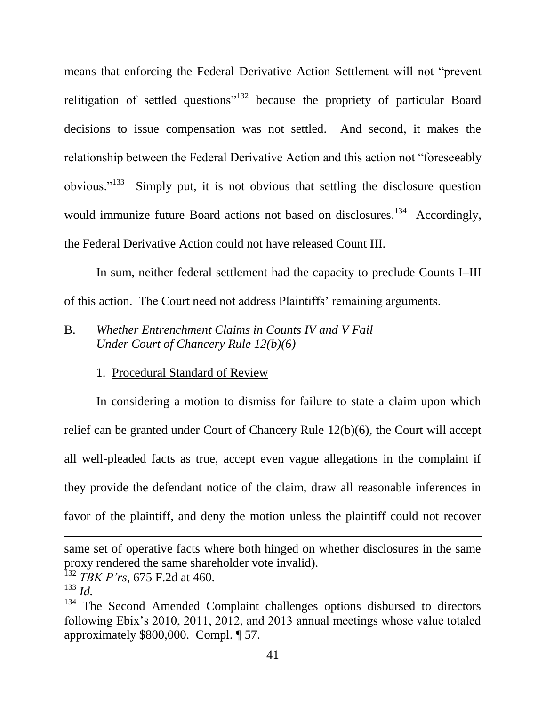means that enforcing the Federal Derivative Action Settlement will not "prevent relitigation of settled questions"<sup>132</sup> because the propriety of particular Board decisions to issue compensation was not settled. And second, it makes the relationship between the Federal Derivative Action and this action not "foreseeably obvious."<sup>133</sup> Simply put, it is not obvious that settling the disclosure question would immunize future Board actions not based on disclosures.<sup>134</sup> Accordingly, the Federal Derivative Action could not have released Count III.

In sum, neither federal settlement had the capacity to preclude Counts I–III of this action. The Court need not address Plaintiffs' remaining arguments.

# B. *Whether Entrenchment Claims in Counts IV and V Fail Under Court of Chancery Rule 12(b)(6)*

### 1. Procedural Standard of Review

In considering a motion to dismiss for failure to state a claim upon which relief can be granted under Court of Chancery Rule 12(b)(6), the Court will accept all well-pleaded facts as true, accept even vague allegations in the complaint if they provide the defendant notice of the claim, draw all reasonable inferences in favor of the plaintiff, and deny the motion unless the plaintiff could not recover

same set of operative facts where both hinged on whether disclosures in the same proxy rendered the same shareholder vote invalid).

<sup>132</sup> *TBK P'rs*, 675 F.2d at 460.

 $^{133}$  *Id.* 

<sup>&</sup>lt;sup>134</sup> The Second Amended Complaint challenges options disbursed to directors following Ebix's 2010, 2011, 2012, and 2013 annual meetings whose value totaled approximately \$800,000. Compl. ¶ 57.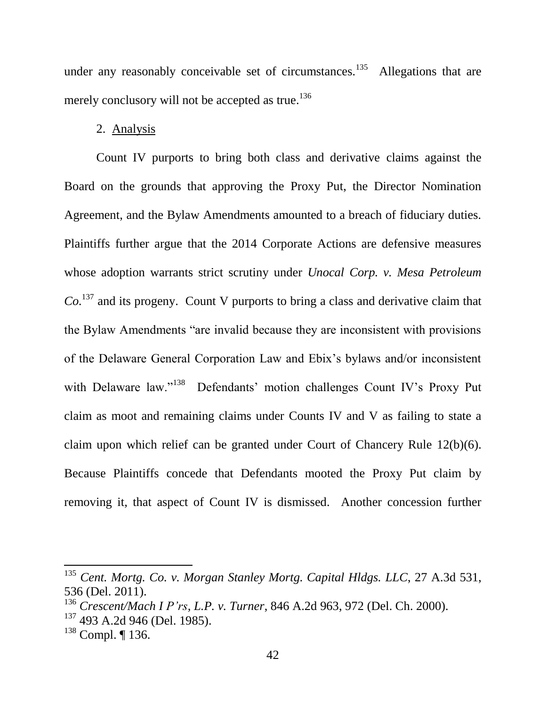under any reasonably conceivable set of circumstances.<sup>135</sup> Allegations that are merely conclusory will not be accepted as true.<sup>136</sup>

### 2. Analysis

Count IV purports to bring both class and derivative claims against the Board on the grounds that approving the Proxy Put, the Director Nomination Agreement, and the Bylaw Amendments amounted to a breach of fiduciary duties. Plaintiffs further argue that the 2014 Corporate Actions are defensive measures whose adoption warrants strict scrutiny under *Unocal Corp. v. Mesa Petroleum Co.*<sup>137</sup> and its progeny. Count V purports to bring a class and derivative claim that the Bylaw Amendments "are invalid because they are inconsistent with provisions of the Delaware General Corporation Law and Ebix's bylaws and/or inconsistent with Delaware law."<sup>138</sup> Defendants' motion challenges Count IV's Proxy Put claim as moot and remaining claims under Counts IV and V as failing to state a claim upon which relief can be granted under Court of Chancery Rule 12(b)(6). Because Plaintiffs concede that Defendants mooted the Proxy Put claim by removing it, that aspect of Count IV is dismissed. Another concession further

<sup>135</sup> *Cent. Mortg. Co. v. Morgan Stanley Mortg. Capital Hldgs. LLC*, 27 A.3d 531, 536 (Del. 2011).

<sup>136</sup> *Crescent/Mach I P'rs, L.P. v. Turner*, 846 A.2d 963, 972 (Del. Ch. 2000).

<sup>137</sup> 493 A.2d 946 (Del. 1985).

<sup>138</sup> Compl. ¶ 136.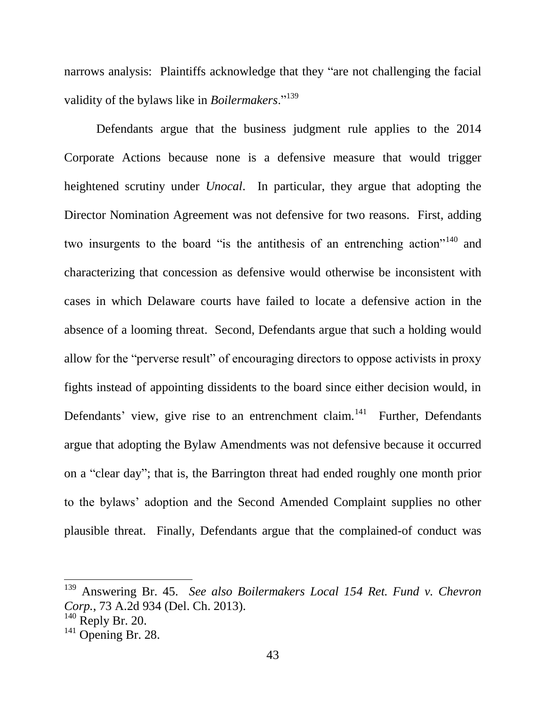narrows analysis: Plaintiffs acknowledge that they "are not challenging the facial validity of the bylaws like in *Boilermakers*."<sup>139</sup>

Defendants argue that the business judgment rule applies to the 2014 Corporate Actions because none is a defensive measure that would trigger heightened scrutiny under *Unocal*. In particular, they argue that adopting the Director Nomination Agreement was not defensive for two reasons. First, adding two insurgents to the board "is the antithesis of an entrenching action"<sup>140</sup> and characterizing that concession as defensive would otherwise be inconsistent with cases in which Delaware courts have failed to locate a defensive action in the absence of a looming threat. Second, Defendants argue that such a holding would allow for the "perverse result" of encouraging directors to oppose activists in proxy fights instead of appointing dissidents to the board since either decision would, in Defendants' view, give rise to an entrenchment claim.<sup>141</sup> Further, Defendants argue that adopting the Bylaw Amendments was not defensive because it occurred on a "clear day"; that is, the Barrington threat had ended roughly one month prior to the bylaws' adoption and the Second Amended Complaint supplies no other plausible threat. Finally, Defendants argue that the complained-of conduct was

<sup>139</sup> Answering Br. 45. *See also Boilermakers Local 154 Ret. Fund v. Chevron Corp.*, 73 A.2d 934 (Del. Ch. 2013).

 $140$  Reply Br. 20.

 $141$  Opening Br. 28.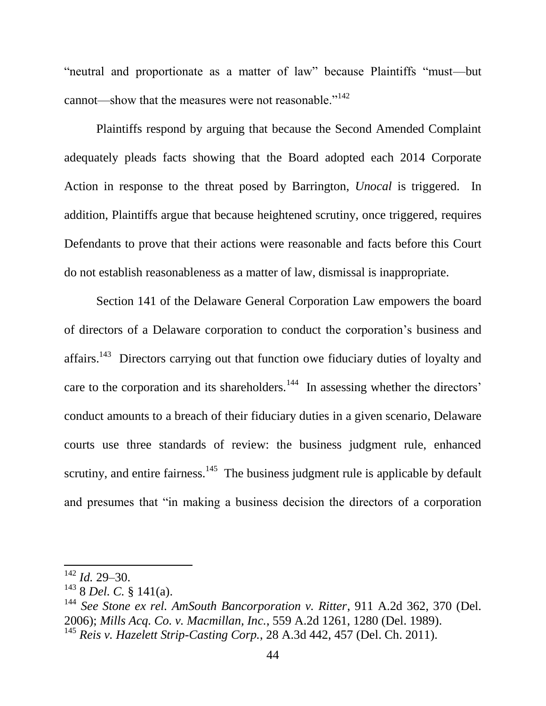"neutral and proportionate as a matter of law" because Plaintiffs "must—but cannot—show that the measures were not reasonable."<sup>142</sup>

Plaintiffs respond by arguing that because the Second Amended Complaint adequately pleads facts showing that the Board adopted each 2014 Corporate Action in response to the threat posed by Barrington, *Unocal* is triggered. In addition, Plaintiffs argue that because heightened scrutiny, once triggered, requires Defendants to prove that their actions were reasonable and facts before this Court do not establish reasonableness as a matter of law, dismissal is inappropriate.

Section 141 of the Delaware General Corporation Law empowers the board of directors of a Delaware corporation to conduct the corporation's business and affairs.<sup>143</sup> Directors carrying out that function owe fiduciary duties of loyalty and care to the corporation and its shareholders.<sup>144</sup> In assessing whether the directors' conduct amounts to a breach of their fiduciary duties in a given scenario, Delaware courts use three standards of review: the business judgment rule, enhanced scrutiny, and entire fairness.<sup>145</sup> The business judgment rule is applicable by default and presumes that "in making a business decision the directors of a corporation

<sup>142</sup> *Id.* 29–30.

<sup>143</sup> 8 *Del. C.* § 141(a).

<sup>144</sup> *See Stone ex rel. AmSouth Bancorporation v. Ritter*, 911 A.2d 362, 370 (Del. 2006); *Mills Acq. Co. v. Macmillan, Inc.*, 559 A.2d 1261, 1280 (Del. 1989).

<sup>145</sup> *Reis v. Hazelett Strip-Casting Corp.*, 28 A.3d 442, 457 (Del. Ch. 2011).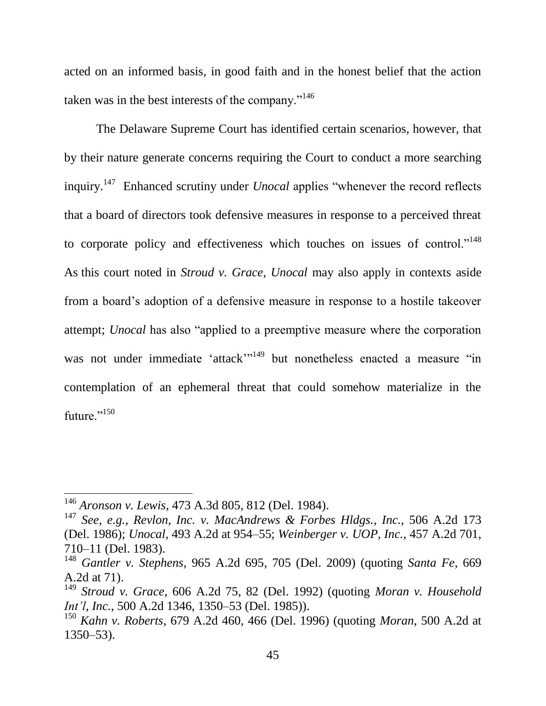acted on an informed basis, in good faith and in the honest belief that the action taken was in the best interests of the company."<sup>146</sup>

The Delaware Supreme Court has identified certain scenarios, however, that by their nature generate concerns requiring the Court to conduct a more searching inquiry.<sup>147</sup> Enhanced scrutiny under *Unocal* applies "whenever the record reflects that a board of directors took defensive measures in response to a perceived threat to corporate policy and effectiveness which touches on issues of control."<sup>148</sup> As this court noted in *Stroud v. Grace*, *Unocal* may also apply in contexts aside from a board's adoption of a defensive measure in response to a hostile takeover attempt; *Unocal* has also "applied to a preemptive measure where the corporation was not under immediate 'attack'<sup>1149</sup> but nonetheless enacted a measure "in contemplation of an ephemeral threat that could somehow materialize in the future."<sup>150</sup>

 $\overline{a}$ 

<sup>146</sup> *Aronson v. Lewis*, 473 A.3d 805, 812 (Del. 1984).

<sup>147</sup> *See, e.g., Revlon, Inc. v. MacAndrews & Forbes Hldgs., Inc.*, 506 A.2d 173 (Del. 1986); *Unocal*, 493 A.2d at 954–55; *Weinberger v. UOP, Inc.*, 457 A.2d 701, 710–11 (Del. 1983).

<sup>148</sup> *Gantler v. Stephens*, 965 A.2d 695, 705 (Del. 2009) (quoting *Santa Fe*, 669 A.2d at 71).

<sup>149</sup> *Stroud v. Grace*, 606 A.2d 75, 82 (Del. 1992) (quoting *Moran v. Household Int'l, Inc.*, 500 A.2d 1346, 1350–53 (Del. 1985)).

<sup>150</sup> *Kahn v. Roberts*, 679 A.2d 460, 466 (Del. 1996) (quoting *Moran*, 500 A.2d at 1350–53).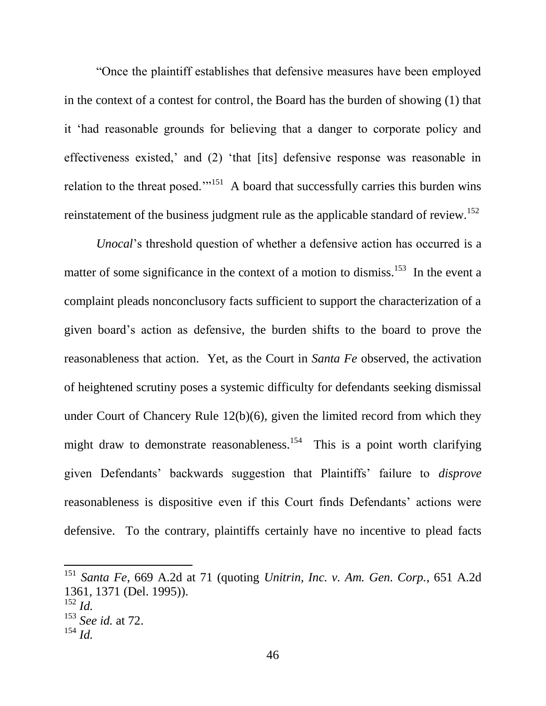"Once the plaintiff establishes that defensive measures have been employed in the context of a contest for control, the Board has the burden of showing (1) that it 'had reasonable grounds for believing that a danger to corporate policy and effectiveness existed,' and (2) 'that [its] defensive response was reasonable in relation to the threat posed."<sup>151</sup> A board that successfully carries this burden wins reinstatement of the business judgment rule as the applicable standard of review.<sup>152</sup>

*Unocal*'s threshold question of whether a defensive action has occurred is a matter of some significance in the context of a motion to dismiss.<sup>153</sup> In the event a complaint pleads nonconclusory facts sufficient to support the characterization of a given board's action as defensive, the burden shifts to the board to prove the reasonableness that action. Yet, as the Court in *Santa Fe* observed, the activation of heightened scrutiny poses a systemic difficulty for defendants seeking dismissal under Court of Chancery Rule 12(b)(6), given the limited record from which they might draw to demonstrate reasonableness.<sup>154</sup> This is a point worth clarifying given Defendants' backwards suggestion that Plaintiffs' failure to *disprove* reasonableness is dispositive even if this Court finds Defendants' actions were defensive. To the contrary, plaintiffs certainly have no incentive to plead facts

<sup>151</sup> *Santa Fe*, 669 A.2d at 71 (quoting *Unitrin, Inc. v. Am. Gen. Corp.*, 651 A.2d 1361, 1371 (Del. 1995)).  $^{152}$  *Id.* 

<sup>153</sup> *See id.* at 72.

<sup>154</sup> *Id.*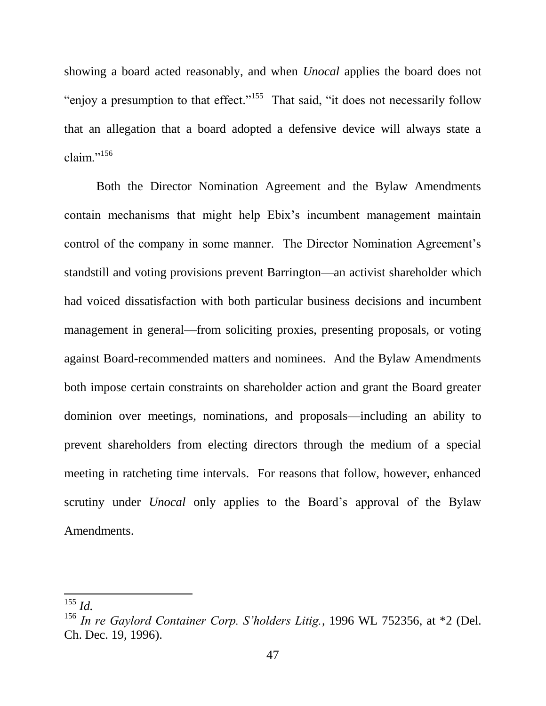showing a board acted reasonably, and when *Unocal* applies the board does not "enjoy a presumption to that effect."<sup>155</sup> That said, "it does not necessarily follow" that an allegation that a board adopted a defensive device will always state a claim." $^{156}$ 

Both the Director Nomination Agreement and the Bylaw Amendments contain mechanisms that might help Ebix's incumbent management maintain control of the company in some manner. The Director Nomination Agreement's standstill and voting provisions prevent Barrington—an activist shareholder which had voiced dissatisfaction with both particular business decisions and incumbent management in general—from soliciting proxies, presenting proposals, or voting against Board-recommended matters and nominees. And the Bylaw Amendments both impose certain constraints on shareholder action and grant the Board greater dominion over meetings, nominations, and proposals—including an ability to prevent shareholders from electing directors through the medium of a special meeting in ratcheting time intervals. For reasons that follow, however, enhanced scrutiny under *Unocal* only applies to the Board's approval of the Bylaw Amendments.

<sup>155</sup> *Id.* 

<sup>156</sup> *In re Gaylord Container Corp. S'holders Litig.*, 1996 WL 752356, at \*2 (Del. Ch. Dec. 19, 1996).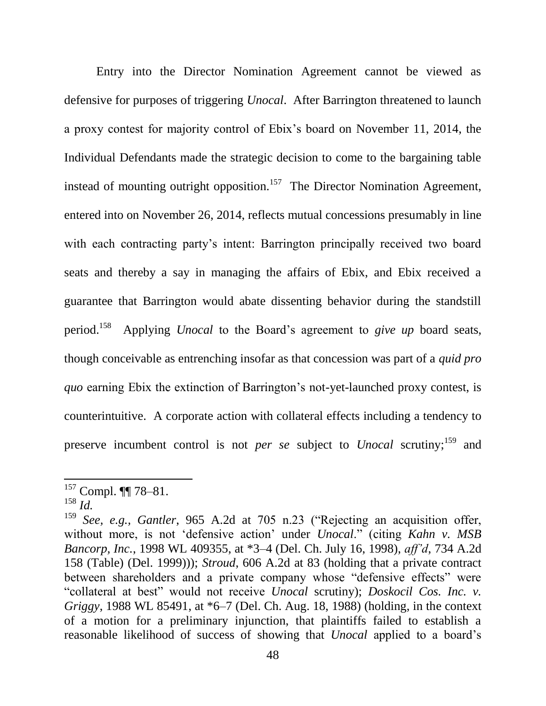Entry into the Director Nomination Agreement cannot be viewed as defensive for purposes of triggering *Unocal*. After Barrington threatened to launch a proxy contest for majority control of Ebix's board on November 11, 2014, the Individual Defendants made the strategic decision to come to the bargaining table instead of mounting outright opposition.<sup>157</sup> The Director Nomination Agreement, entered into on November 26, 2014, reflects mutual concessions presumably in line with each contracting party's intent: Barrington principally received two board seats and thereby a say in managing the affairs of Ebix, and Ebix received a guarantee that Barrington would abate dissenting behavior during the standstill period.<sup>158</sup> Applying *Unocal* to the Board's agreement to *give up* board seats, though conceivable as entrenching insofar as that concession was part of a *quid pro quo* earning Ebix the extinction of Barrington's not-yet-launched proxy contest, is counterintuitive. A corporate action with collateral effects including a tendency to preserve incumbent control is not *per se* subject to *Unocal* scrutiny; <sup>159</sup> and

 $157$  Compl.  $\P$  78-81.

<sup>158</sup> *Id.*

<sup>&</sup>lt;sup>159</sup> *See, e.g., Gantler*, 965 A.2d at 705 n.23 ("Rejecting an acquisition offer, without more, is not 'defensive action' under *Unocal*." (citing *Kahn v. MSB Bancorp, Inc.*, 1998 WL 409355, at \*3–4 (Del. Ch. July 16, 1998), *aff'd*, 734 A.2d 158 (Table) (Del. 1999))); *Stroud*, 606 A.2d at 83 (holding that a private contract between shareholders and a private company whose "defensive effects" were "collateral at best" would not receive *Unocal* scrutiny); *Doskocil Cos. Inc. v. Griggy*, 1988 WL 85491, at \*6–7 (Del. Ch. Aug. 18, 1988) (holding, in the context of a motion for a preliminary injunction, that plaintiffs failed to establish a reasonable likelihood of success of showing that *Unocal* applied to a board's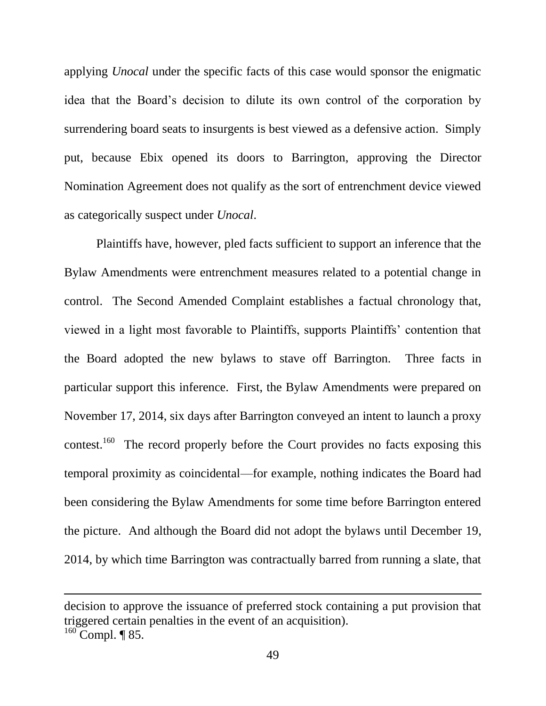applying *Unocal* under the specific facts of this case would sponsor the enigmatic idea that the Board's decision to dilute its own control of the corporation by surrendering board seats to insurgents is best viewed as a defensive action. Simply put, because Ebix opened its doors to Barrington, approving the Director Nomination Agreement does not qualify as the sort of entrenchment device viewed as categorically suspect under *Unocal*.

Plaintiffs have, however, pled facts sufficient to support an inference that the Bylaw Amendments were entrenchment measures related to a potential change in control. The Second Amended Complaint establishes a factual chronology that, viewed in a light most favorable to Plaintiffs, supports Plaintiffs' contention that the Board adopted the new bylaws to stave off Barrington. Three facts in particular support this inference. First, the Bylaw Amendments were prepared on November 17, 2014, six days after Barrington conveyed an intent to launch a proxy contest.<sup>160</sup> The record properly before the Court provides no facts exposing this temporal proximity as coincidental—for example, nothing indicates the Board had been considering the Bylaw Amendments for some time before Barrington entered the picture. And although the Board did not adopt the bylaws until December 19, 2014, by which time Barrington was contractually barred from running a slate, that

decision to approve the issuance of preferred stock containing a put provision that triggered certain penalties in the event of an acquisition).

 $^{160}$  Compl. ¶ 85.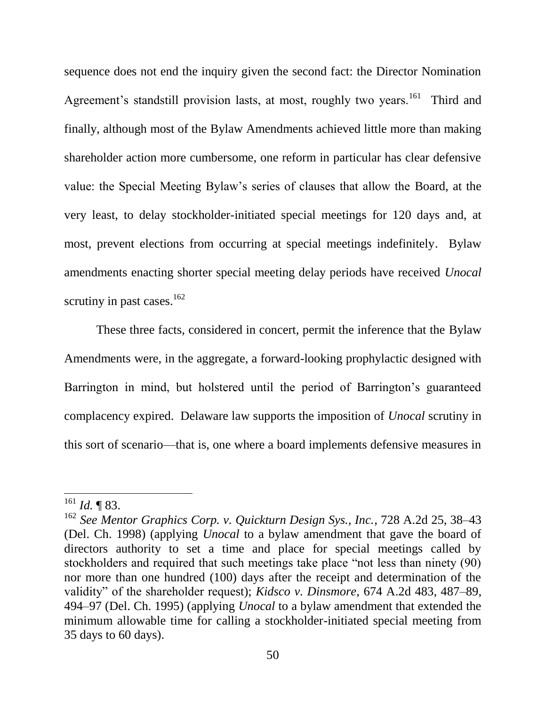sequence does not end the inquiry given the second fact: the Director Nomination Agreement's standstill provision lasts, at most, roughly two years.<sup>161</sup> Third and finally, although most of the Bylaw Amendments achieved little more than making shareholder action more cumbersome, one reform in particular has clear defensive value: the Special Meeting Bylaw's series of clauses that allow the Board, at the very least, to delay stockholder-initiated special meetings for 120 days and, at most, prevent elections from occurring at special meetings indefinitely. Bylaw amendments enacting shorter special meeting delay periods have received *Unocal* scrutiny in past cases.<sup>162</sup>

These three facts, considered in concert, permit the inference that the Bylaw Amendments were, in the aggregate, a forward-looking prophylactic designed with Barrington in mind, but holstered until the period of Barrington's guaranteed complacency expired. Delaware law supports the imposition of *Unocal* scrutiny in this sort of scenario—that is, one where a board implements defensive measures in

 $\overline{a}$ 

 $^{161}$  *Id.* ¶ 83.

<sup>162</sup> *See Mentor Graphics Corp. v. Quickturn Design Sys., Inc.*, 728 A.2d 25, 38–43 (Del. Ch. 1998) (applying *Unocal* to a bylaw amendment that gave the board of directors authority to set a time and place for special meetings called by stockholders and required that such meetings take place "not less than ninety (90) nor more than one hundred (100) days after the receipt and determination of the validity" of the shareholder request); *Kidsco v. Dinsmore*, 674 A.2d 483, 487–89, 494–97 (Del. Ch. 1995) (applying *Unocal* to a bylaw amendment that extended the minimum allowable time for calling a stockholder-initiated special meeting from 35 days to 60 days).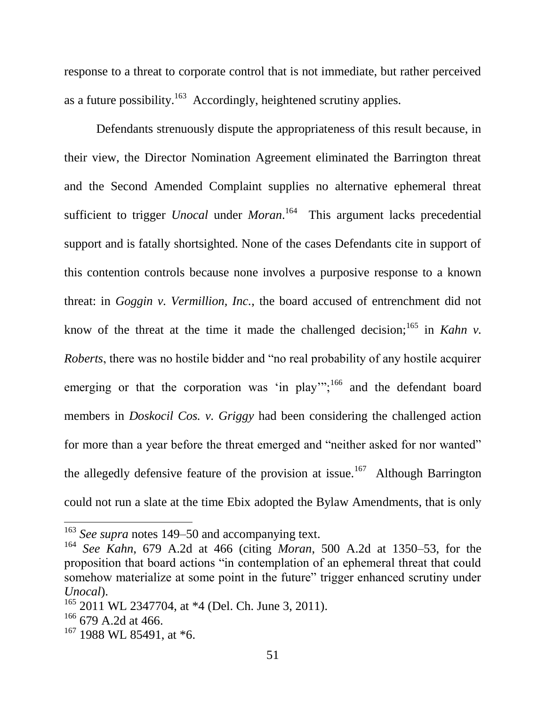response to a threat to corporate control that is not immediate, but rather perceived as a future possibility.<sup>163</sup> Accordingly, heightened scrutiny applies.

Defendants strenuously dispute the appropriateness of this result because, in their view, the Director Nomination Agreement eliminated the Barrington threat and the Second Amended Complaint supplies no alternative ephemeral threat sufficient to trigger *Unocal* under *Moran*. 164 This argument lacks precedential support and is fatally shortsighted. None of the cases Defendants cite in support of this contention controls because none involves a purposive response to a known threat: in *Goggin v. Vermillion, Inc.*, the board accused of entrenchment did not know of the threat at the time it made the challenged decision;<sup>165</sup> in *Kahn v. Roberts*, there was no hostile bidder and "no real probability of any hostile acquirer emerging or that the corporation was 'in play'";<sup>166</sup> and the defendant board members in *Doskocil Cos. v. Griggy* had been considering the challenged action for more than a year before the threat emerged and "neither asked for nor wanted" the allegedly defensive feature of the provision at issue.<sup>167</sup> Although Barrington could not run a slate at the time Ebix adopted the Bylaw Amendments, that is only

<sup>163</sup> *See supra* notes 149–50 and accompanying text.

<sup>164</sup> *See Kahn*, 679 A.2d at 466 (citing *Moran*, 500 A.2d at 1350–53, for the proposition that board actions "in contemplation of an ephemeral threat that could somehow materialize at some point in the future" trigger enhanced scrutiny under *Unocal*).

 $165$  2011 WL 2347704, at  $*4$  (Del. Ch. June 3, 2011).

 $166$  679 A.2d at 466.

<sup>&</sup>lt;sup>167</sup> 1988 WL 85491, at \*6.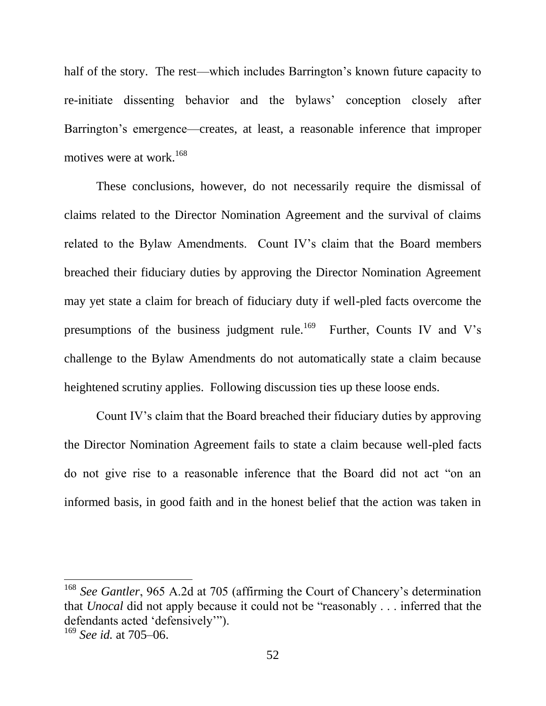half of the story. The rest—which includes Barrington's known future capacity to re-initiate dissenting behavior and the bylaws' conception closely after Barrington's emergence—creates, at least, a reasonable inference that improper motives were at work.<sup>168</sup>

These conclusions, however, do not necessarily require the dismissal of claims related to the Director Nomination Agreement and the survival of claims related to the Bylaw Amendments. Count IV's claim that the Board members breached their fiduciary duties by approving the Director Nomination Agreement may yet state a claim for breach of fiduciary duty if well-pled facts overcome the presumptions of the business judgment rule.<sup>169</sup> Further, Counts IV and V's challenge to the Bylaw Amendments do not automatically state a claim because heightened scrutiny applies. Following discussion ties up these loose ends.

Count IV's claim that the Board breached their fiduciary duties by approving the Director Nomination Agreement fails to state a claim because well-pled facts do not give rise to a reasonable inference that the Board did not act "on an informed basis, in good faith and in the honest belief that the action was taken in

<sup>168</sup> *See Gantler*, 965 A.2d at 705 (affirming the Court of Chancery's determination that *Unocal* did not apply because it could not be "reasonably . . . inferred that the defendants acted 'defensively'").

<sup>169</sup> *See id.* at 705–06.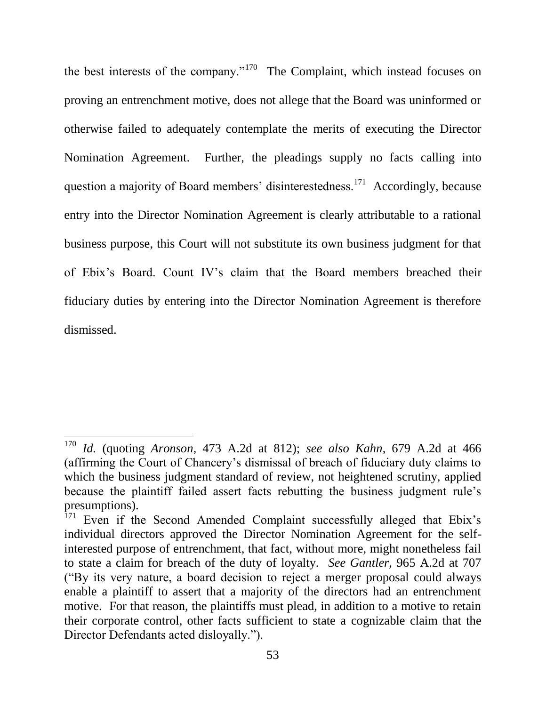the best interests of the company."<sup>170</sup> The Complaint, which instead focuses on proving an entrenchment motive, does not allege that the Board was uninformed or otherwise failed to adequately contemplate the merits of executing the Director Nomination Agreement. Further, the pleadings supply no facts calling into question a majority of Board members' disinterestedness.<sup>171</sup> Accordingly, because entry into the Director Nomination Agreement is clearly attributable to a rational business purpose, this Court will not substitute its own business judgment for that of Ebix's Board. Count IV's claim that the Board members breached their fiduciary duties by entering into the Director Nomination Agreement is therefore dismissed.

<sup>170</sup> *Id.* (quoting *Aronson*, 473 A.2d at 812); *see also Kahn*, 679 A.2d at 466 (affirming the Court of Chancery's dismissal of breach of fiduciary duty claims to which the business judgment standard of review, not heightened scrutiny, applied because the plaintiff failed assert facts rebutting the business judgment rule's presumptions).

<sup>&</sup>lt;sup>171</sup> Even if the Second Amended Complaint successfully alleged that Ebix's individual directors approved the Director Nomination Agreement for the selfinterested purpose of entrenchment, that fact, without more, might nonetheless fail to state a claim for breach of the duty of loyalty. *See Gantler*, 965 A.2d at 707 ("By its very nature, a board decision to reject a merger proposal could always enable a plaintiff to assert that a majority of the directors had an entrenchment motive. For that reason, the plaintiffs must plead, in addition to a motive to retain their corporate control, other facts sufficient to state a cognizable claim that the Director Defendants acted disloyally.").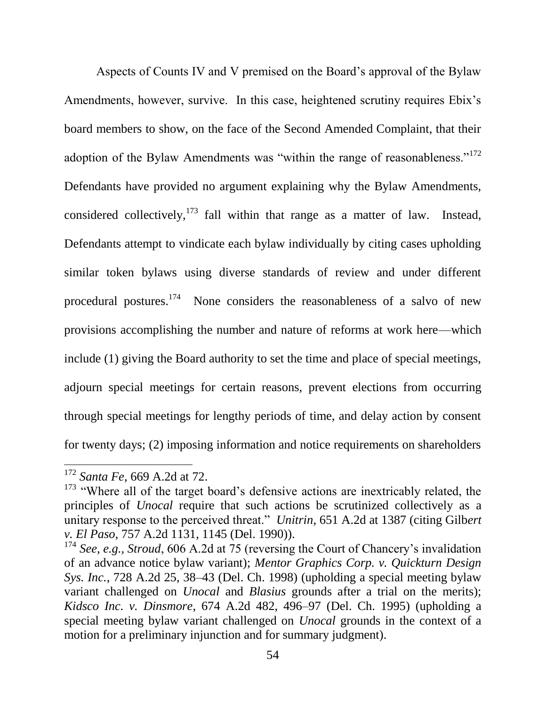Aspects of Counts IV and V premised on the Board's approval of the Bylaw Amendments, however, survive. In this case, heightened scrutiny requires Ebix's board members to show, on the face of the Second Amended Complaint, that their adoption of the Bylaw Amendments was "within the range of reasonableness."<sup>172</sup> Defendants have provided no argument explaining why the Bylaw Amendments, considered collectively,  $173$  fall within that range as a matter of law. Instead, Defendants attempt to vindicate each bylaw individually by citing cases upholding similar token bylaws using diverse standards of review and under different procedural postures.<sup>174</sup> None considers the reasonableness of a salvo of new provisions accomplishing the number and nature of reforms at work here—which include (1) giving the Board authority to set the time and place of special meetings, adjourn special meetings for certain reasons, prevent elections from occurring through special meetings for lengthy periods of time, and delay action by consent for twenty days; (2) imposing information and notice requirements on shareholders

 $\overline{a}$ 

<sup>172</sup> *Santa Fe*, 669 A.2d at 72.

<sup>&</sup>lt;sup>173</sup> "Where all of the target board's defensive actions are inextricably related, the principles of *Unocal* require that such actions be scrutinized collectively as a unitary response to the perceived threat." *Unitrin*, 651 A.2d at 1387 (citing Gilb*ert v. El Paso*, 757 A.2d 1131, 1145 (Del. 1990)).

<sup>&</sup>lt;sup>174</sup> *See, e.g., Stroud,* 606 A.2d at 75 (reversing the Court of Chancery's invalidation of an advance notice bylaw variant); *Mentor Graphics Corp. v. Quickturn Design Sys. Inc.*, 728 A.2d 25, 38–43 (Del. Ch. 1998) (upholding a special meeting bylaw variant challenged on *Unocal* and *Blasius* grounds after a trial on the merits); *Kidsco Inc. v. Dinsmore*, 674 A.2d 482, 496–97 (Del. Ch. 1995) (upholding a special meeting bylaw variant challenged on *Unocal* grounds in the context of a motion for a preliminary injunction and for summary judgment).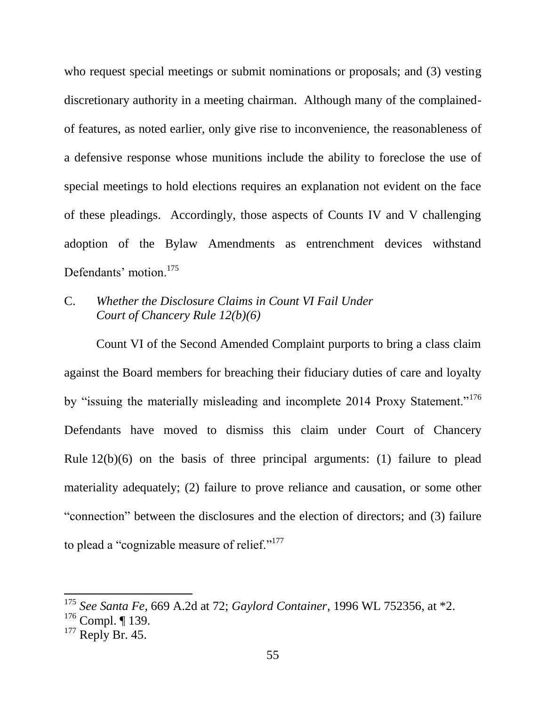who request special meetings or submit nominations or proposals; and (3) vesting discretionary authority in a meeting chairman. Although many of the complainedof features, as noted earlier, only give rise to inconvenience, the reasonableness of a defensive response whose munitions include the ability to foreclose the use of special meetings to hold elections requires an explanation not evident on the face of these pleadings. Accordingly, those aspects of Counts IV and V challenging adoption of the Bylaw Amendments as entrenchment devices withstand Defendants' motion.<sup>175</sup>

# C. *Whether the Disclosure Claims in Count VI Fail Under Court of Chancery Rule 12(b)(6)*

Count VI of the Second Amended Complaint purports to bring a class claim against the Board members for breaching their fiduciary duties of care and loyalty by "issuing the materially misleading and incomplete 2014 Proxy Statement."<sup>176</sup> Defendants have moved to dismiss this claim under Court of Chancery Rule 12(b)(6) on the basis of three principal arguments: (1) failure to plead materiality adequately; (2) failure to prove reliance and causation, or some other "connection" between the disclosures and the election of directors; and (3) failure to plead a "cognizable measure of relief."<sup>177</sup>

<sup>175</sup> *See Santa Fe*, 669 A.2d at 72; *Gaylord Container*, 1996 WL 752356, at \*2.

 $176$  Compl. | 139.

 $177$  Reply Br. 45.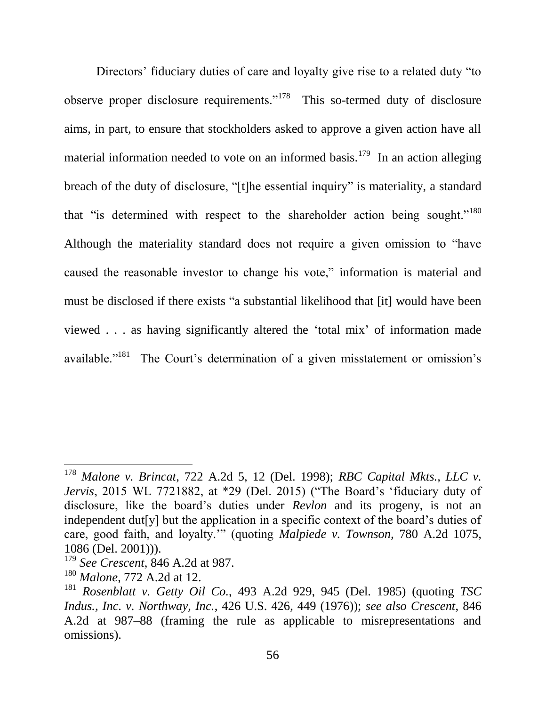Directors' fiduciary duties of care and loyalty give rise to a related duty "to observe proper disclosure requirements."<sup>178</sup> This so-termed duty of disclosure aims, in part, to ensure that stockholders asked to approve a given action have all material information needed to vote on an informed basis.<sup>179</sup> In an action alleging breach of the duty of disclosure, "[t]he essential inquiry" is materiality, a standard that "is determined with respect to the shareholder action being sought."<sup>180</sup> Although the materiality standard does not require a given omission to "have caused the reasonable investor to change his vote," information is material and must be disclosed if there exists "a substantial likelihood that [it] would have been viewed . . . as having significantly altered the 'total mix' of information made available."<sup>181</sup> The Court's determination of a given misstatement or omission's

 $\overline{a}$ 

<sup>178</sup> *Malone v. Brincat*, 722 A.2d 5, 12 (Del. 1998); *RBC Capital Mkts., LLC v. Jervis*, 2015 WL 7721882, at \*29 (Del. 2015) ("The Board's 'fiduciary duty of disclosure, like the board's duties under *Revlon* and its progeny, is not an independent dut[y] but the application in a specific context of the board's duties of care, good faith, and loyalty.'" (quoting *Malpiede v. Townson*, 780 A.2d 1075, 1086 (Del. 2001))).

<sup>179</sup> *See Crescent*, 846 A.2d at 987.

<sup>180</sup> *Malone*, 772 A.2d at 12.

<sup>181</sup> *Rosenblatt v. Getty Oil Co.*, 493 A.2d 929, 945 (Del. 1985) (quoting *TSC Indus., Inc. v. Northway, Inc.*, 426 U.S. 426, 449 (1976)); *see also Crescent*, 846 A.2d at 987–88 (framing the rule as applicable to misrepresentations and omissions).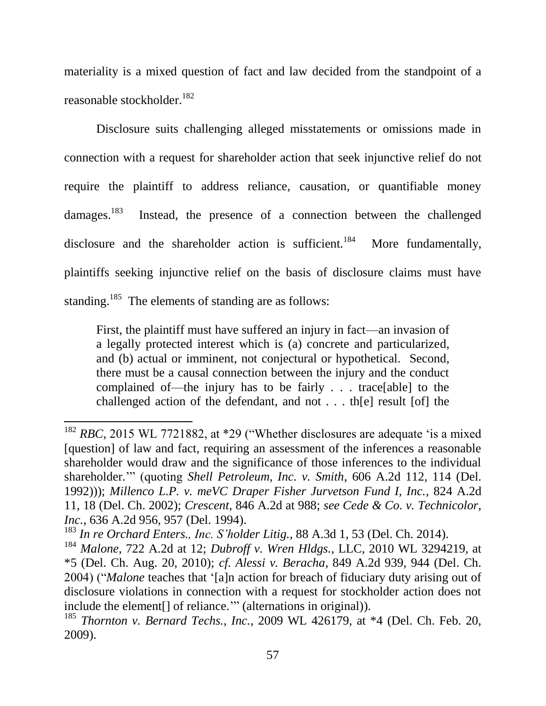materiality is a mixed question of fact and law decided from the standpoint of a reasonable stockholder.<sup>182</sup>

Disclosure suits challenging alleged misstatements or omissions made in connection with a request for shareholder action that seek injunctive relief do not require the plaintiff to address reliance, causation, or quantifiable money damages.<sup>183</sup> Instead, the presence of a connection between the challenged disclosure and the shareholder action is sufficient.<sup>184</sup> More fundamentally, plaintiffs seeking injunctive relief on the basis of disclosure claims must have standing.<sup>185</sup> The elements of standing are as follows:

First, the plaintiff must have suffered an injury in fact—an invasion of a legally protected interest which is (a) concrete and particularized, and (b) actual or imminent, not conjectural or hypothetical. Second, there must be a causal connection between the injury and the conduct complained of—the injury has to be fairly . . . trace[able] to the challenged action of the defendant, and not . . . th[e] result [of] the

<sup>&</sup>lt;sup>182</sup> *RBC*, 2015 WL 7721882, at \*29 ("Whether disclosures are adequate 'is a mixed [question] of law and fact, requiring an assessment of the inferences a reasonable shareholder would draw and the significance of those inferences to the individual shareholder.'" (quoting *Shell Petroleum, Inc. v. Smith*, 606 A.2d 112, 114 (Del. 1992))); *Millenco L.P. v. meVC Draper Fisher Jurvetson Fund I, Inc.*, 824 A.2d 11, 18 (Del. Ch. 2002); *Crescent*, 846 A.2d at 988; *see Cede & Co. v. Technicolor, Inc.*, 636 A.2d 956, 957 (Del. 1994).

<sup>183</sup> *In re Orchard Enters., Inc. S'holder Litig.*, 88 A.3d 1, 53 (Del. Ch. 2014).

<sup>184</sup> *Malone*, 722 A.2d at 12; *Dubroff v. Wren Hldgs.*, LLC, 2010 WL 3294219, at \*5 (Del. Ch. Aug. 20, 2010); *cf. Alessi v. Beracha*, 849 A.2d 939, 944 (Del. Ch. 2004) ("*Malone* teaches that '[a]n action for breach of fiduciary duty arising out of disclosure violations in connection with a request for stockholder action does not include the element[] of reliance.'" (alternations in original)).

<sup>185</sup> *Thornton v. Bernard Techs., Inc.*, 2009 WL 426179, at \*4 (Del. Ch. Feb. 20, 2009).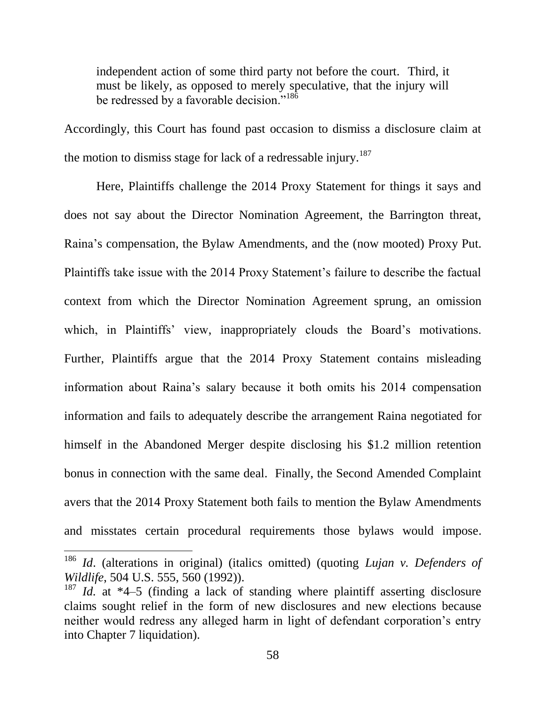independent action of some third party not before the court. Third, it must be likely, as opposed to merely speculative, that the injury will be redressed by a favorable decision."<sup>186</sup>

Accordingly, this Court has found past occasion to dismiss a disclosure claim at the motion to dismiss stage for lack of a redressable injury.<sup>187</sup>

Here, Plaintiffs challenge the 2014 Proxy Statement for things it says and does not say about the Director Nomination Agreement, the Barrington threat, Raina's compensation, the Bylaw Amendments, and the (now mooted) Proxy Put. Plaintiffs take issue with the 2014 Proxy Statement's failure to describe the factual context from which the Director Nomination Agreement sprung, an omission which, in Plaintiffs' view, inappropriately clouds the Board's motivations. Further, Plaintiffs argue that the 2014 Proxy Statement contains misleading information about Raina's salary because it both omits his 2014 compensation information and fails to adequately describe the arrangement Raina negotiated for himself in the Abandoned Merger despite disclosing his \$1.2 million retention bonus in connection with the same deal. Finally, the Second Amended Complaint avers that the 2014 Proxy Statement both fails to mention the Bylaw Amendments and misstates certain procedural requirements those bylaws would impose.

<sup>186</sup> *Id*. (alterations in original) (italics omitted) (quoting *Lujan v. Defenders of Wildlife*, 504 U.S. 555, 560 (1992)).

<sup>187</sup> *Id.* at \*4–5 (finding a lack of standing where plaintiff asserting disclosure claims sought relief in the form of new disclosures and new elections because neither would redress any alleged harm in light of defendant corporation's entry into Chapter 7 liquidation).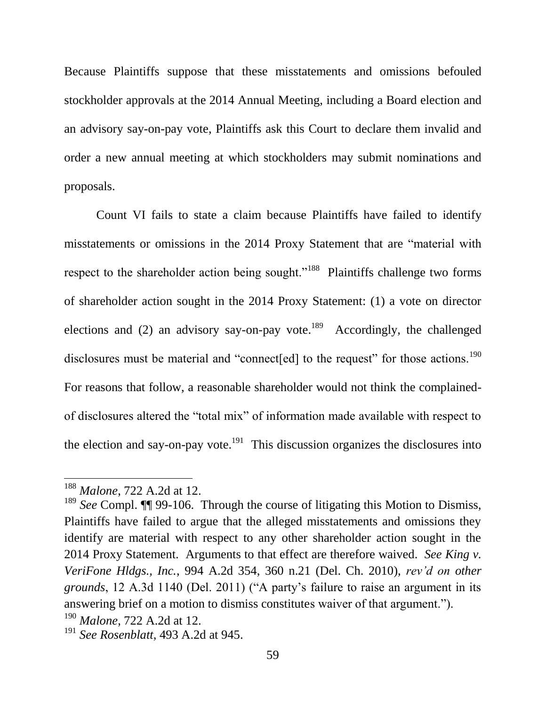Because Plaintiffs suppose that these misstatements and omissions befouled stockholder approvals at the 2014 Annual Meeting, including a Board election and an advisory say-on-pay vote, Plaintiffs ask this Court to declare them invalid and order a new annual meeting at which stockholders may submit nominations and proposals.

Count VI fails to state a claim because Plaintiffs have failed to identify misstatements or omissions in the 2014 Proxy Statement that are "material with respect to the shareholder action being sought."<sup>188</sup> Plaintiffs challenge two forms of shareholder action sought in the 2014 Proxy Statement: (1) a vote on director elections and (2) an advisory say-on-pay vote.<sup>189</sup> Accordingly, the challenged disclosures must be material and "connect [ed] to the request" for those actions.<sup>190</sup> For reasons that follow, a reasonable shareholder would not think the complainedof disclosures altered the "total mix" of information made available with respect to the election and say-on-pay vote.<sup>191</sup> This discussion organizes the disclosures into

<sup>188</sup> *Malone*, 722 A.2d at 12.

<sup>&</sup>lt;sup>189</sup> See Compl. **[1]** 99-106. Through the course of litigating this Motion to Dismiss, Plaintiffs have failed to argue that the alleged misstatements and omissions they identify are material with respect to any other shareholder action sought in the 2014 Proxy Statement. Arguments to that effect are therefore waived. *See King v. VeriFone Hldgs., Inc.*, 994 A.2d 354, 360 n.21 (Del. Ch. 2010), *rev'd on other grounds*, 12 A.3d 1140 (Del. 2011) ("A party's failure to raise an argument in its answering brief on a motion to dismiss constitutes waiver of that argument."). <sup>190</sup> *Malone*, 722 A.2d at 12.

<sup>191</sup> *See Rosenblatt*, 493 A.2d at 945.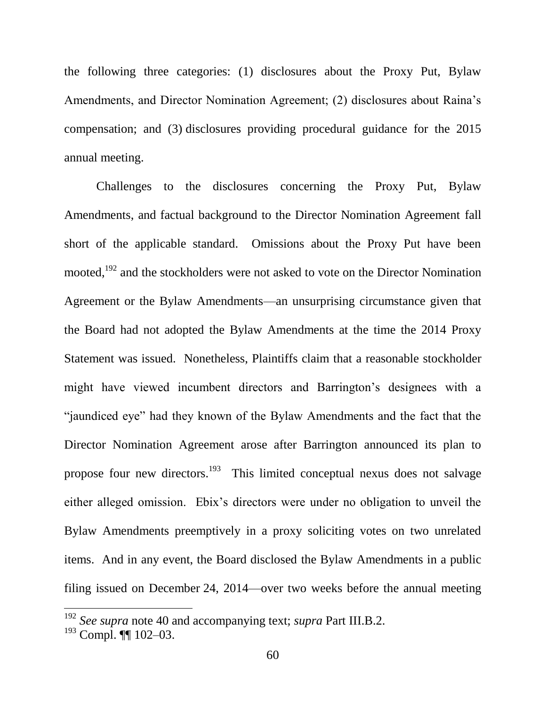the following three categories: (1) disclosures about the Proxy Put, Bylaw Amendments, and Director Nomination Agreement; (2) disclosures about Raina's compensation; and (3) disclosures providing procedural guidance for the 2015 annual meeting.

Challenges to the disclosures concerning the Proxy Put, Bylaw Amendments, and factual background to the Director Nomination Agreement fall short of the applicable standard. Omissions about the Proxy Put have been mooted,<sup>192</sup> and the stockholders were not asked to vote on the Director Nomination Agreement or the Bylaw Amendments—an unsurprising circumstance given that the Board had not adopted the Bylaw Amendments at the time the 2014 Proxy Statement was issued. Nonetheless, Plaintiffs claim that a reasonable stockholder might have viewed incumbent directors and Barrington's designees with a "jaundiced eye" had they known of the Bylaw Amendments and the fact that the Director Nomination Agreement arose after Barrington announced its plan to propose four new directors.<sup>193</sup> This limited conceptual nexus does not salvage either alleged omission. Ebix's directors were under no obligation to unveil the Bylaw Amendments preemptively in a proxy soliciting votes on two unrelated items. And in any event, the Board disclosed the Bylaw Amendments in a public filing issued on December 24, 2014—over two weeks before the annual meeting

<sup>192</sup> *See supra* note 40 and accompanying text; *supra* Part III.B.2.

<sup>193</sup> Compl. ¶¶ 102–03.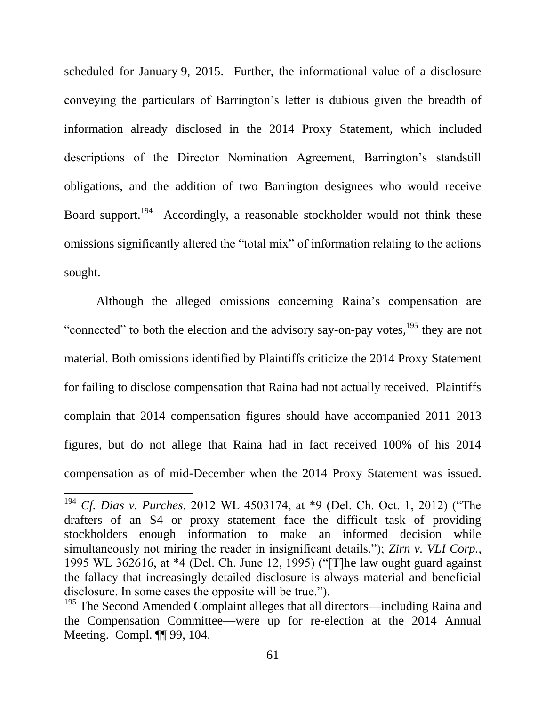scheduled for January 9, 2015. Further, the informational value of a disclosure conveying the particulars of Barrington's letter is dubious given the breadth of information already disclosed in the 2014 Proxy Statement, which included descriptions of the Director Nomination Agreement, Barrington's standstill obligations, and the addition of two Barrington designees who would receive Board support.<sup>194</sup> Accordingly, a reasonable stockholder would not think these omissions significantly altered the "total mix" of information relating to the actions sought.

Although the alleged omissions concerning Raina's compensation are "connected" to both the election and the advisory say-on-pay votes,<sup>195</sup> they are not material. Both omissions identified by Plaintiffs criticize the 2014 Proxy Statement for failing to disclose compensation that Raina had not actually received. Plaintiffs complain that 2014 compensation figures should have accompanied 2011–2013 figures, but do not allege that Raina had in fact received 100% of his 2014 compensation as of mid-December when the 2014 Proxy Statement was issued.

 $\overline{a}$ 

<sup>194</sup> *Cf. Dias v. Purches*, 2012 WL 4503174, at \*9 (Del. Ch. Oct. 1, 2012) ("The drafters of an S4 or proxy statement face the difficult task of providing stockholders enough information to make an informed decision while simultaneously not miring the reader in insignificant details."); *Zirn v. VLI Corp.*, 1995 WL 362616, at \*4 (Del. Ch. June 12, 1995) ("[T]he law ought guard against the fallacy that increasingly detailed disclosure is always material and beneficial disclosure. In some cases the opposite will be true.").

<sup>&</sup>lt;sup>195</sup> The Second Amended Complaint alleges that all directors—including Raina and the Compensation Committee—were up for re-election at the 2014 Annual Meeting. Compl. ¶¶ 99, 104.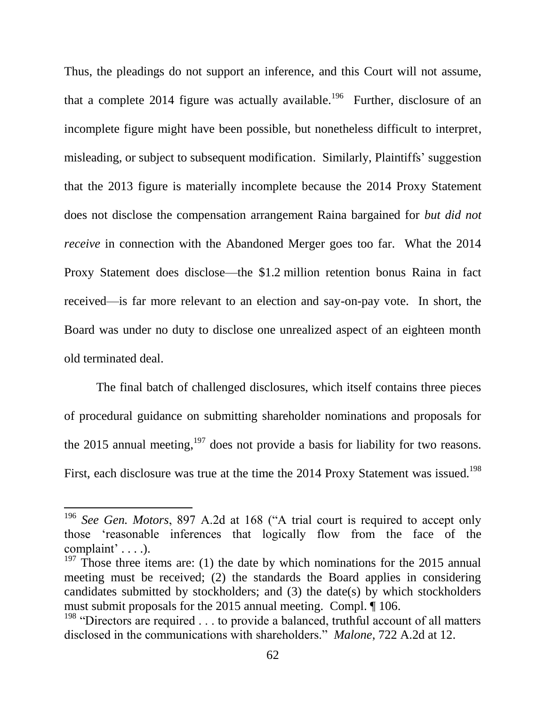Thus, the pleadings do not support an inference, and this Court will not assume, that a complete 2014 figure was actually available.<sup>196</sup> Further, disclosure of an incomplete figure might have been possible, but nonetheless difficult to interpret, misleading, or subject to subsequent modification. Similarly, Plaintiffs' suggestion that the 2013 figure is materially incomplete because the 2014 Proxy Statement does not disclose the compensation arrangement Raina bargained for *but did not receive* in connection with the Abandoned Merger goes too far. What the 2014 Proxy Statement does disclose—the \$1.2 million retention bonus Raina in fact received—is far more relevant to an election and say-on-pay vote. In short, the Board was under no duty to disclose one unrealized aspect of an eighteen month old terminated deal.

The final batch of challenged disclosures, which itself contains three pieces of procedural guidance on submitting shareholder nominations and proposals for the 2015 annual meeting, $197$  does not provide a basis for liability for two reasons. First, each disclosure was true at the time the 2014 Proxy Statement was issued.<sup>198</sup>

<sup>196</sup> *See Gen. Motors*, 897 A.2d at 168 ("A trial court is required to accept only those 'reasonable inferences that logically flow from the face of the complaint' . . . .).

 $197$  Those three items are: (1) the date by which nominations for the 2015 annual meeting must be received; (2) the standards the Board applies in considering candidates submitted by stockholders; and (3) the date(s) by which stockholders must submit proposals for the 2015 annual meeting. Compl. ¶ 106.

<sup>&</sup>lt;sup>198</sup> "Directors are required . . . to provide a balanced, truthful account of all matters disclosed in the communications with shareholders." *Malone*, 722 A.2d at 12.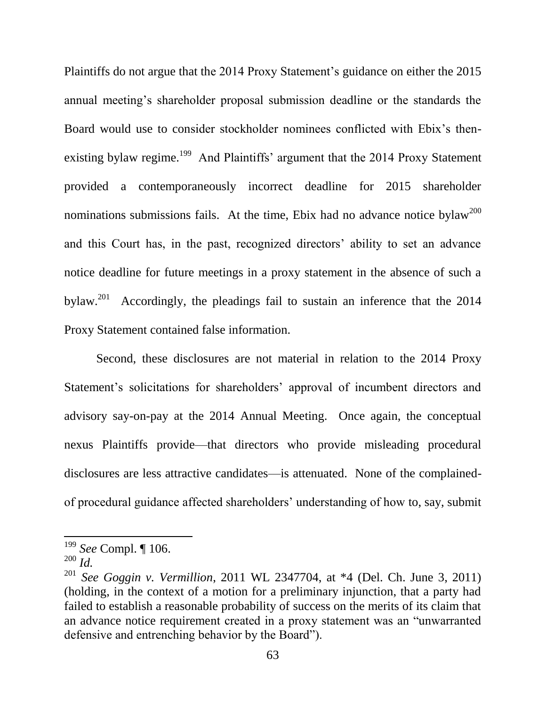Plaintiffs do not argue that the 2014 Proxy Statement's guidance on either the 2015 annual meeting's shareholder proposal submission deadline or the standards the Board would use to consider stockholder nominees conflicted with Ebix's thenexisting bylaw regime.<sup>199</sup> And Plaintiffs' argument that the 2014 Proxy Statement provided a contemporaneously incorrect deadline for 2015 shareholder nominations submissions fails. At the time, Ebix had no advance notice bylaw<sup>200</sup> and this Court has, in the past, recognized directors' ability to set an advance notice deadline for future meetings in a proxy statement in the absence of such a  $b$ vlaw. $^{201}$  Accordingly, the pleadings fail to sustain an inference that the 2014 Proxy Statement contained false information.

Second, these disclosures are not material in relation to the 2014 Proxy Statement's solicitations for shareholders' approval of incumbent directors and advisory say-on-pay at the 2014 Annual Meeting. Once again, the conceptual nexus Plaintiffs provide—that directors who provide misleading procedural disclosures are less attractive candidates—is attenuated. None of the complainedof procedural guidance affected shareholders' understanding of how to, say, submit

<sup>199</sup> *See* Compl. ¶ 106.

<sup>200</sup> *Id.*

<sup>201</sup> *See Goggin v. Vermillion*, 2011 WL 2347704, at \*4 (Del. Ch. June 3, 2011) (holding, in the context of a motion for a preliminary injunction, that a party had failed to establish a reasonable probability of success on the merits of its claim that an advance notice requirement created in a proxy statement was an "unwarranted defensive and entrenching behavior by the Board").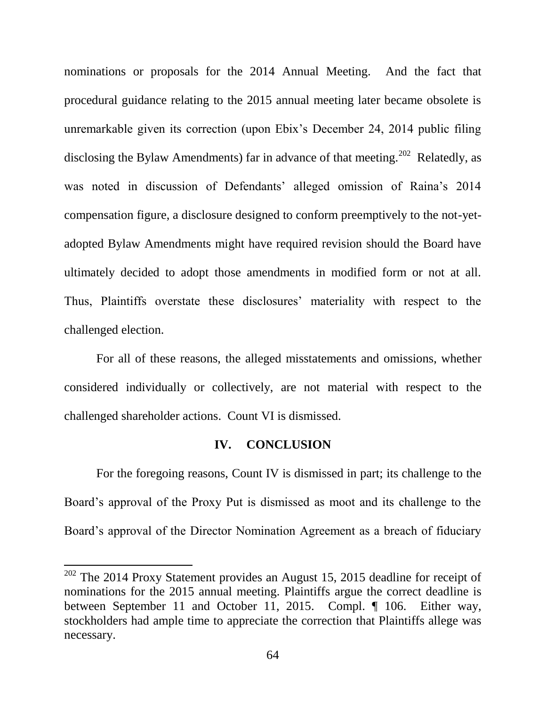nominations or proposals for the 2014 Annual Meeting. And the fact that procedural guidance relating to the 2015 annual meeting later became obsolete is unremarkable given its correction (upon Ebix's December 24, 2014 public filing disclosing the Bylaw Amendments) far in advance of that meeting.<sup>202</sup> Relatedly, as was noted in discussion of Defendants' alleged omission of Raina's 2014 compensation figure, a disclosure designed to conform preemptively to the not-yetadopted Bylaw Amendments might have required revision should the Board have ultimately decided to adopt those amendments in modified form or not at all. Thus, Plaintiffs overstate these disclosures' materiality with respect to the challenged election.

For all of these reasons, the alleged misstatements and omissions, whether considered individually or collectively, are not material with respect to the challenged shareholder actions. Count VI is dismissed.

### **IV. CONCLUSION**

For the foregoing reasons, Count IV is dismissed in part; its challenge to the Board's approval of the Proxy Put is dismissed as moot and its challenge to the Board's approval of the Director Nomination Agreement as a breach of fiduciary

 $202$  The 2014 Proxy Statement provides an August 15, 2015 deadline for receipt of nominations for the 2015 annual meeting. Plaintiffs argue the correct deadline is between September 11 and October 11, 2015. Compl. ¶ 106. Either way, stockholders had ample time to appreciate the correction that Plaintiffs allege was necessary.